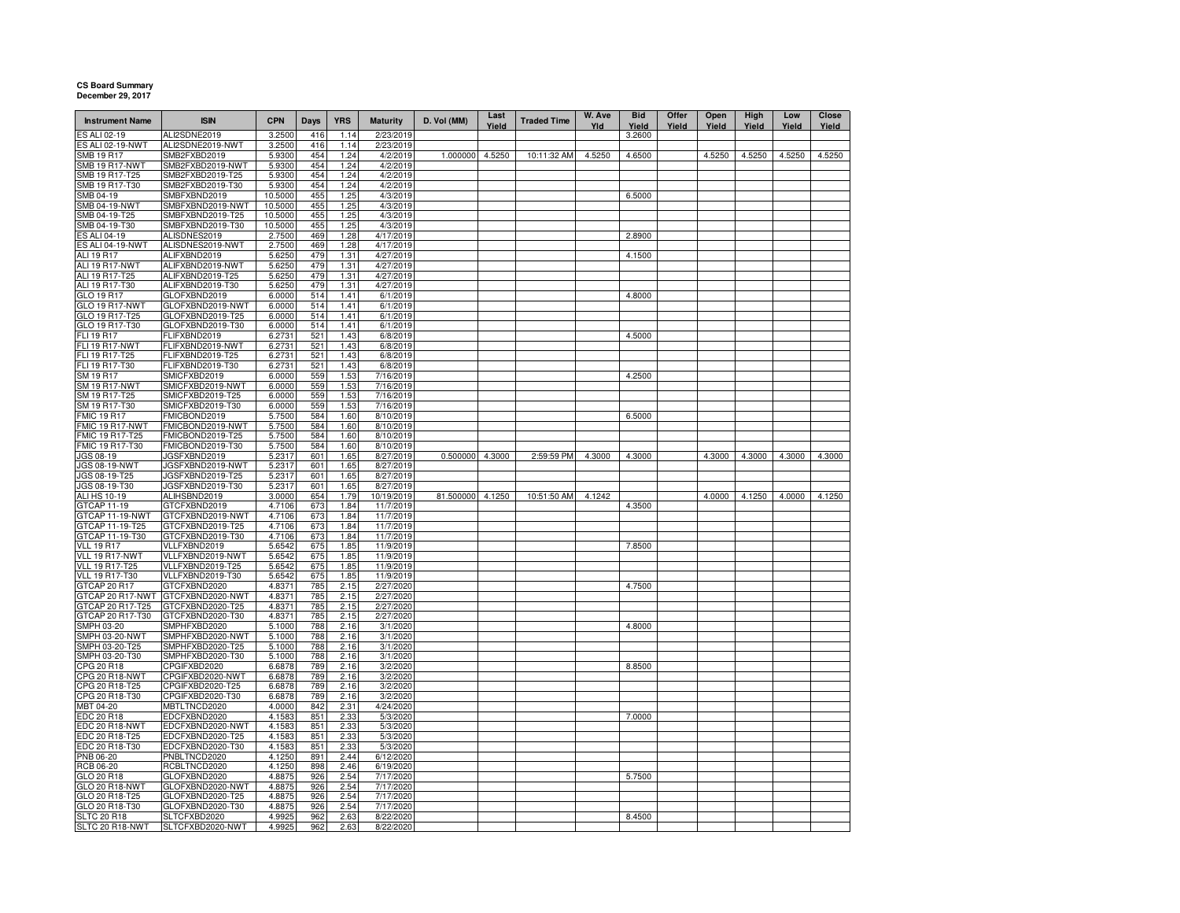## **CS Board Summary December 29, 2017**

| <b>Instrument Name</b>                     | <b>ISIN</b>                      | <b>CPN</b>       | Days       | <b>YRS</b>   | <b>Maturity</b>        | D. Vol (MM)      | Last<br>Yield | <b>Traded Time</b> | W. Ave<br>Yld | <b>Bid</b><br>Yield | Offer<br>Yield | Open<br>Yield | High<br>Yield | Low<br>Yield | Close<br>Yield |
|--------------------------------------------|----------------------------------|------------------|------------|--------------|------------------------|------------------|---------------|--------------------|---------------|---------------------|----------------|---------------|---------------|--------------|----------------|
| ES ALI 02-19                               | ALI2SDNE2019                     | 3.2500           | 416        | 1.14         | 2/23/2019              |                  |               |                    |               | 3.2600              |                |               |               |              |                |
| ES ALI 02-19-NWT                           | ALI2SDNE2019-NWT                 | 3.2500           | 416        | 1.14         | 2/23/2019              |                  |               |                    |               |                     |                |               |               |              |                |
| <b>SMB 19 R17</b><br><b>SMB 19 R17-NWT</b> | SMB2FXBD2019<br>SMB2FXBD2019-NWT | 5.9300<br>5.9300 | 454<br>454 | 1.24<br>1.24 | 4/2/2019<br>4/2/2019   | 1.000000         | 4.5250        | 10:11:32 AM        | 4.5250        | 4.6500              |                | 4.5250        | 4.5250        | 4.5250       | 4.5250         |
| SMB 19 R17-T25                             | SMB2FXBD2019-T25                 | 5.9300           | 454        | 1.24         | 4/2/2019               |                  |               |                    |               |                     |                |               |               |              |                |
| SMB 19 R17-T30                             | SMB2FXBD2019-T30                 | 5.9300           | 454        | 1.24         | 4/2/2019               |                  |               |                    |               |                     |                |               |               |              |                |
| SMB 04-19                                  | SMBFXBND2019                     | 10.5000          | 455        | 1.25         | 4/3/2019               |                  |               |                    |               | 6.5000              |                |               |               |              |                |
| SMB 04-19-NWT                              | SMBFXBND2019-NWT                 | 10.5000          | 455        | 1.25         | 4/3/2019               |                  |               |                    |               |                     |                |               |               |              |                |
| SMB 04-19-T25                              | SMBFXBND2019-T25                 | 10.5000          | 455        | 1.25         | 4/3/2019               |                  |               |                    |               |                     |                |               |               |              |                |
| SMB 04-19-T30                              | SMBFXBND2019-T30                 | 10.5000          | 455        | 1.25         | 4/3/2019               |                  |               |                    |               |                     |                |               |               |              |                |
| <b>ES ALI 04-19</b>                        | ALISDNES2019                     | 2.7500           | 469        | 1.28         | 4/17/2019              |                  |               |                    |               | 2.8900              |                |               |               |              |                |
| <b>ES ALI 04-19-NWT</b>                    | ALISDNES2019-NWT                 | 2.7500           | 469        | 1.28         | 4/17/2019              |                  |               |                    |               |                     |                |               |               |              |                |
| ALI 19 R17                                 | ALIFXBND2019                     | 5.6250           | 479        | 1.31         | 4/27/2019              |                  |               |                    |               | 4.1500              |                |               |               |              |                |
| ALI 19 R17-NWT                             | ALIFXBND2019-NWT                 | 5.6250           | 479        | 1.31         | 4/27/2019              |                  |               |                    |               |                     |                |               |               |              |                |
| ALI 19 R17-T25                             | ALIFXBND2019-T25                 | 5.6250           | 479        | 1.31         | 4/27/2019              |                  |               |                    |               |                     |                |               |               |              |                |
| ALI 19 R17-T30                             | ALIFXBND2019-T30                 | 5.6250           | 479        | 1.31         | 4/27/2019              |                  |               |                    |               |                     |                |               |               |              |                |
| GLO 19 R17                                 | GLOFXBND2019                     | 6.0000           | 514        | 1.41         | 6/1/2019               |                  |               |                    |               | 4.8000              |                |               |               |              |                |
| GLO 19 R17-NWT                             | GLOFXBND2019-NWT                 | 6.0000           | 514        | 1.41         | 6/1/2019               |                  |               |                    |               |                     |                |               |               |              |                |
| GLO 19 R17-T25                             | GLOFXBND2019-T25                 | 6.0000           | 514        | 1.41         | 6/1/2019               |                  |               |                    |               |                     |                |               |               |              |                |
| GLO 19 R17-T30                             | GLOFXBND2019-T30                 | 6.0000           | 514        | 1.41         | 6/1/2019               |                  |               |                    |               |                     |                |               |               |              |                |
| FLI 19 R17                                 | FLIFXBND2019                     | 6.2731           | 521        | 1.43         | 6/8/2019               |                  |               |                    |               | 4.5000              |                |               |               |              |                |
| FLI 19 R17-NWT                             | FLIFXBND2019-NWT                 | 6.2731           | 521        | 1.43         | 6/8/2019               |                  |               |                    |               |                     |                |               |               |              |                |
| FLI 19 R17-T25                             | FLIFXBND2019-T25                 | 6.2731           | 521        | 1.43         | 6/8/2019               |                  |               |                    |               |                     |                |               |               |              |                |
| FLI 19 R17-T30<br>SM 19 R17                | FLIFXBND2019-T30                 | 6.273            | 521        | 1.43         | 6/8/2019               |                  |               |                    |               |                     |                |               |               |              |                |
| <b>SM 19 R17-NWT</b>                       | SMICFXBD2019<br>SMICFXBD2019-NWT | 6.0000           | 559<br>559 | 1.53         | 7/16/2019              |                  |               |                    |               | 4.2500              |                |               |               |              |                |
| SM 19 R17-T25                              | SMICFXBD2019-T25                 | 6.0000<br>6.0000 | 559        | 1.53<br>1.53 | 7/16/2019<br>7/16/2019 |                  |               |                    |               |                     |                |               |               |              |                |
| SM 19 R17-T30                              | SMICFXBD2019-T30                 | 6.0000           | 559        | 1.53         | 7/16/2019              |                  |               |                    |               |                     |                |               |               |              |                |
| <b>FMIC 19 R17</b>                         | FMICBOND2019                     | 5.7500           | 584        | 1.60         | 8/10/2019              |                  |               |                    |               | 6.5000              |                |               |               |              |                |
| FMIC 19 R17-NWT                            | FMICBOND2019-NWT                 | 5.7500           | 584        | 1.60         | 8/10/2019              |                  |               |                    |               |                     |                |               |               |              |                |
| FMIC 19 R17-T25                            | FMICBOND2019-T25                 | 5.7500           | 584        | 1.60         | 8/10/2019              |                  |               |                    |               |                     |                |               |               |              |                |
| FMIC 19 R17-T30                            | FMICBOND2019-T30                 | 5.7500           | 584        | 1.60         | 8/10/2019              |                  |               |                    |               |                     |                |               |               |              |                |
| JGS 08-19                                  | JGSFXBND2019                     | 5.2317           | 601        | 1.65         | 8/27/2019              | 0.500000 4.3000  |               | 2:59:59 PM         | 4.3000        | 4.3000              |                | 4.3000        | 4.3000        | 4.3000       | 4.3000         |
| JGS 08-19-NWT                              | JGSFXBND2019-NWT                 | 5.2317           | 601        | 1.65         | 8/27/2019              |                  |               |                    |               |                     |                |               |               |              |                |
| JGS 08-19-T25                              | GSFXBND2019-T25                  | 5.2317           | 601        | 1.65         | 8/27/2019              |                  |               |                    |               |                     |                |               |               |              |                |
| JGS 08-19-T30                              | JGSFXBND2019-T30                 | 5.2317           | 601        | 1.65         | 8/27/2019              |                  |               |                    |               |                     |                |               |               |              |                |
| <b>ALI HS 10-19</b>                        | ALIHSBND2019                     | 3.0000           | 654        | 1.79         | 10/19/2019             | 81.500000 4.1250 |               | 10:51:50 AM        | 4.1242        |                     |                | 4.0000        | 4.1250        | 4.0000       | 4.1250         |
| GTCAP 11-19                                | GTCFXBND2019                     | 4.7106           | 673        | 1.84         | 11/7/2019              |                  |               |                    |               | 4.3500              |                |               |               |              |                |
| GTCAP 11-19-NWT                            | GTCFXBND2019-NWT                 | 4.7106           | 673        | 1.84         | 11/7/2019              |                  |               |                    |               |                     |                |               |               |              |                |
| GTCAP 11-19-T25                            | GTCFXBND2019-T25                 | 4.7106           | 673        | 1.84         | 11/7/2019              |                  |               |                    |               |                     |                |               |               |              |                |
| GTCAP 11-19-T30                            | GTCFXBND2019-T30                 | 4.7106           | 673        | 1.84         | 11/7/2019              |                  |               |                    |               |                     |                |               |               |              |                |
| <b>VLL 19 R17</b>                          | VLLFXBND2019                     | 5.6542           | 675        | 1.85         | 11/9/2019              |                  |               |                    |               | 7.8500              |                |               |               |              |                |
| VLL 19 R17-NWT                             | VLLFXBND2019-NWT                 | 5.6542           | 675        | 1.85         | 11/9/2019              |                  |               |                    |               |                     |                |               |               |              |                |
| <b>VLL 19 R17-T25</b>                      | VLLFXBND2019-T25                 | 5.6542           | 675        | 1.85         | 11/9/2019              |                  |               |                    |               |                     |                |               |               |              |                |
| VLL 19 R17-T30                             | VLLFXBND2019-T30                 | 5.6542           | 675        | 1.85         | 11/9/2019              |                  |               |                    |               |                     |                |               |               |              |                |
| GTCAP 20 R17                               | GTCFXBND2020                     | 4.8371           | 785        | 2.15         | 2/27/2020              |                  |               |                    |               | 4.7500              |                |               |               |              |                |
| GTCAP 20 R17-NWT                           | GTCFXBND2020-NWT                 | 4.8371           | 785        | 2.15         | 2/27/2020              |                  |               |                    |               |                     |                |               |               |              |                |
| GTCAP 20 R17-T25                           | GTCFXBND2020-T25                 | 4.8371           | 785        | 2.15         | 2/27/2020              |                  |               |                    |               |                     |                |               |               |              |                |
| GTCAP 20 R17-T30                           | GTCFXBND2020-T30                 | 4.8371           | 785        | 2.15         | 2/27/2020              |                  |               |                    |               |                     |                |               |               |              |                |
| SMPH 03-20                                 | SMPHFXBD2020                     | 5.1000           | 788        | 2.16         | 3/1/2020               |                  |               |                    |               | 4.8000              |                |               |               |              |                |
| <b>SMPH 03-20-NWT</b>                      | SMPHFXBD2020-NWT                 | 5.1000           | 788        | 2.16         | 3/1/2020               |                  |               |                    |               |                     |                |               |               |              |                |
| SMPH 03-20-T25                             | SMPHFXBD2020-T25                 | 5.1000           | 788        | 2.16         | 3/1/2020               |                  |               |                    |               |                     |                |               |               |              |                |
| SMPH 03-20-T30<br>CPG 20 R18               | SMPHFXBD2020-T30<br>CPGIFXBD2020 | 5.1000<br>6.6878 | 788<br>789 | 2.16<br>2.16 | 3/1/2020<br>3/2/2020   |                  |               |                    |               | 8.8500              |                |               |               |              |                |
| CPG 20 R18-NWT                             | CPGIFXBD2020-NWT                 | 6.6878           | 789        | 2.16         | 3/2/2020               |                  |               |                    |               |                     |                |               |               |              |                |
| CPG 20 R18-T25                             | CPGIFXBD2020-T25                 | 6.6878           | 789        | 2.16         | 3/2/2020               |                  |               |                    |               |                     |                |               |               |              |                |
| CPG 20 R18-T30                             | CPGIFXBD2020-T30                 | 6.6878           | 789        | 2.16         | 3/2/2020               |                  |               |                    |               |                     |                |               |               |              |                |
| MBT 04-20                                  | MBTLTNCD2020                     | 4.0000           | 842        | 2.31         | 4/24/2020              |                  |               |                    |               |                     |                |               |               |              |                |
| <b>EDC 20 R18</b>                          | EDCFXBND2020                     | 4.1583           | 851        | 2.33         | 5/3/2020               |                  |               |                    |               | 7.0000              |                |               |               |              |                |
| EDC 20 R18-NWT                             | EDCFXBND2020-NWT                 | 4.1583           | 851        | 2.33         | 5/3/2020               |                  |               |                    |               |                     |                |               |               |              |                |
| EDC 20 R18-T25                             | EDCFXBND2020-T25                 | 4.1583           | 851        | 2.33         | 5/3/2020               |                  |               |                    |               |                     |                |               |               |              |                |
| EDC 20 R18-T30                             | EDCFXBND2020-T30                 | 4.1583           | 851        | 2.33         | 5/3/2020               |                  |               |                    |               |                     |                |               |               |              |                |
| <b>PNB 06-20</b>                           | PNBLTNCD2020                     | 4.1250           | 891        | 2.44         | 6/12/2020              |                  |               |                    |               |                     |                |               |               |              |                |
| <b>RCB 06-20</b>                           | RCBLTNCD2020                     | 4.1250           | 898        | 2.46         | 6/19/2020              |                  |               |                    |               |                     |                |               |               |              |                |
| GLO 20 R18                                 | GLOFXBND2020                     | 4.8875           | 926        | 2.54         | 7/17/2020              |                  |               |                    |               | 5.7500              |                |               |               |              |                |
| GLO 20 R18-NWT                             | GLOFXBND2020-NWT                 | 4.8875           | 926        | 2.54         | 7/17/2020              |                  |               |                    |               |                     |                |               |               |              |                |
| GLO 20 R18-T25                             | GLOFXBND2020-T25                 | 4.8875           | 926        | 2.54         | 7/17/2020              |                  |               |                    |               |                     |                |               |               |              |                |
| GLO 20 R18-T30                             | GLOFXBND2020-T30                 | 4.8875           | 926        | 2.54         | 7/17/2020              |                  |               |                    |               |                     |                |               |               |              |                |
| <b>SLTC 20 R18</b>                         | SLTCFXBD2020                     | 4.9925           | 962        | 2.63         | 8/22/2020              |                  |               |                    |               | 8.4500              |                |               |               |              |                |
| SLTC 20 R18-NWT                            | SLTCFXBD2020-NWT                 | 4.9925           | 962        | 2.63         | 8/22/2020              |                  |               |                    |               |                     |                |               |               |              |                |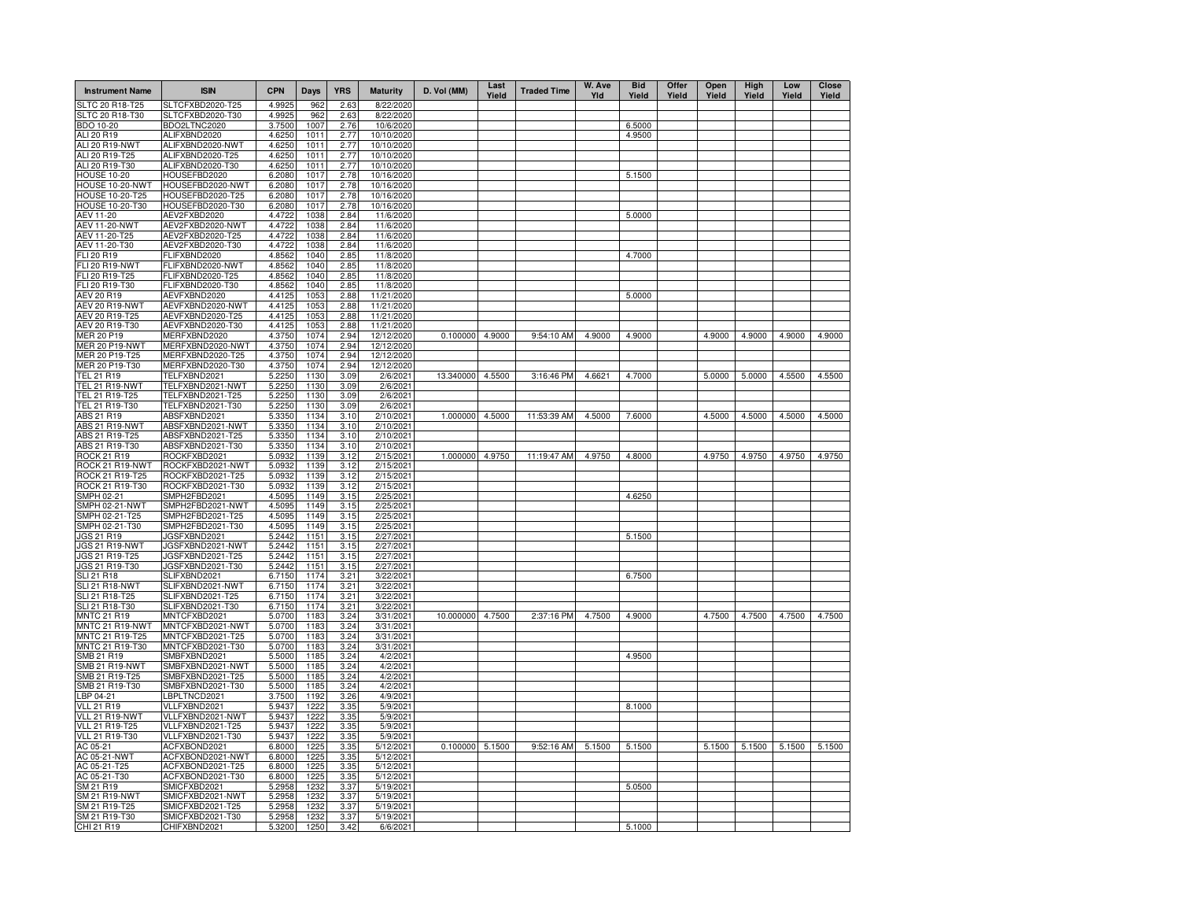| <b>Instrument Name</b>                | <b>ISIN</b>                      | <b>CPN</b>       | Days         | <b>YRS</b>   | <b>Maturity</b>         | D. Vol (MM)      | Last<br>Yield | <b>Traded Time</b> | W. Ave<br>Yld | <b>Bid</b><br>Yield | Offer<br>Yield | Open<br>Yield | <b>High</b><br>Yield | Low<br>Yield | Close<br>Yield |
|---------------------------------------|----------------------------------|------------------|--------------|--------------|-------------------------|------------------|---------------|--------------------|---------------|---------------------|----------------|---------------|----------------------|--------------|----------------|
| SLTC 20 R18-T25                       | SLTCFXBD2020-T25                 | 4.9925           | 962          | 2.63         | 8/22/2020               |                  |               |                    |               |                     |                |               |                      |              |                |
| SLTC 20 R18-T30                       | SLTCFXBD2020-T30                 | 4.9925           | 962          | 2.63         | 8/22/2020               |                  |               |                    |               |                     |                |               |                      |              |                |
| BDO 10-20<br>ALI 20 R19               | BDO2LTNC2020<br>ALIFXBND2020     | 3.7500<br>4.6250 | 1007<br>1011 | 2.76<br>2.77 | 10/6/2020<br>10/10/2020 |                  |               |                    |               | 6.5000<br>4.9500    |                |               |                      |              |                |
| ALI 20 R19-NWT                        | ALIFXBND2020-NWT                 | 4.6250           | 1011         | 2.77         | 10/10/2020              |                  |               |                    |               |                     |                |               |                      |              |                |
| ALI 20 R19-T25                        | ALIFXBND2020-T25                 | 4.6250           | 1011         | 2.77         | 10/10/2020              |                  |               |                    |               |                     |                |               |                      |              |                |
| ALI 20 R19-T30                        | ALIFXBND2020-T30                 | 4.6250           | 1011         | 2.77         | 10/10/2020              |                  |               |                    |               |                     |                |               |                      |              |                |
| <b>HOUSE 10-20</b>                    | HOUSEFBD2020                     | 6.2080           | 1017         | 2.78         | 10/16/2020              |                  |               |                    |               | 5.1500              |                |               |                      |              |                |
| HOUSE 10-20-NWT                       | HOUSEFBD2020-NWT                 | 6.2080           | 1017         | 2.78         | 10/16/2020              |                  |               |                    |               |                     |                |               |                      |              |                |
| <b>HOUSE 10-20-T25</b>                | HOUSEFBD2020-T25                 | 6.2080           | 1017         | 2.78         | 10/16/2020              |                  |               |                    |               |                     |                |               |                      |              |                |
| <b>HOUSE 10-20-T30</b><br>AEV 11-20   | HOUSEFBD2020-T30<br>AEV2FXBD2020 | 6.2080<br>4.4722 | 1017<br>1038 | 2.78<br>2.84 | 10/16/2020<br>11/6/2020 |                  |               |                    |               | 5.0000              |                |               |                      |              |                |
| <b>AEV 11-20-NWT</b>                  | AEV2FXBD2020-NWT                 | 4.4722           | 1038         | 2.84         | 11/6/2020               |                  |               |                    |               |                     |                |               |                      |              |                |
| AEV 11-20-T25                         | AEV2FXBD2020-T25                 | 4.4722           | 1038         | 2.84         | 11/6/2020               |                  |               |                    |               |                     |                |               |                      |              |                |
| AEV 11-20-T30                         | AEV2FXBD2020-T30                 | 4.4722           | 1038         | 2.84         | 11/6/2020               |                  |               |                    |               |                     |                |               |                      |              |                |
| FLI 20 R19                            | FLIFXBND2020                     | 4.8562           | 1040         | 2.85         | 11/8/2020               |                  |               |                    |               | 4.7000              |                |               |                      |              |                |
| FLI 20 R19-NWT                        | FLIFXBND2020-NWT                 | 4.8562           | 1040         | 2.85         | 11/8/2020               |                  |               |                    |               |                     |                |               |                      |              |                |
| FLI 20 R19-T25                        | FLIFXBND2020-T25                 | 4.8562           | 1040         | 2.85         | 11/8/2020               |                  |               |                    |               |                     |                |               |                      |              |                |
| FLI 20 R19-T30<br>AEV 20 R19          | FLIFXBND2020-T30<br>AEVFXBND2020 | 4.8562<br>4.4125 | 1040<br>1053 | 2.85<br>2.88 | 11/8/2020<br>11/21/2020 |                  |               |                    |               | 5.0000              |                |               |                      |              |                |
| AEV 20 R19-NWT                        | AEVFXBND2020-NWT                 | 4.4125           | 1053         | 2.88         | 11/21/2020              |                  |               |                    |               |                     |                |               |                      |              |                |
| AEV 20 R19-T25                        | AEVFXBND2020-T25                 | 4.4125           | 1053         | 2.88         | 11/21/2020              |                  |               |                    |               |                     |                |               |                      |              |                |
| AEV 20 R19-T30                        | AEVFXBND2020-T30                 | 4.4125           | 1053         | 2.88         | 11/21/2020              |                  |               |                    |               |                     |                |               |                      |              |                |
| <b>MER 20 P19</b>                     | MERFXBND2020                     | 4.3750           | 1074         | 2.94         | 12/12/2020              | 0.100000         | 4.9000        | 9:54:10 AM         | 4.9000        | 4.9000              |                | 4.9000        | 4.9000               | 4.9000       | 4.9000         |
| MER 20 P19-NWT                        | MERFXBND2020-NWT                 | 4.3750           | 1074         | 2.94         | 12/12/2020              |                  |               |                    |               |                     |                |               |                      |              |                |
| MER 20 P19-T25                        | MERFXBND2020-T25                 | 4.3750           | 1074         | 2.94         | 12/12/2020              |                  |               |                    |               |                     |                |               |                      |              |                |
| MER 20 P19-T30<br><b>TEL 21 R19</b>   | MERFXBND2020-T30<br>TELFXBND2021 | 4.3750<br>5.2250 | 1074<br>1130 | 2.94         | 12/12/2020<br>2/6/2021  |                  |               |                    |               |                     |                |               |                      |              |                |
| TEL 21 R19-NWT                        | TELFXBND2021-NWT                 | 5.2250           | 1130         | 3.09<br>3.09 | 2/6/2021                | 13.340000        | 4.5500        | 3:16:46 PM         | 4.6621        | 4.7000              |                | 5.0000        | 5.0000               | 4.5500       | 4.5500         |
| <b>TEL 21 R19-T25</b>                 | TELFXBND2021-T25                 | 5.2250           | 1130         | 3.09         | 2/6/2021                |                  |               |                    |               |                     |                |               |                      |              |                |
| TEL 21 R19-T30                        | TELFXBND2021-T30                 | 5.2250           | 1130         | 3.09         | 2/6/2021                |                  |               |                    |               |                     |                |               |                      |              |                |
| ABS 21 R19                            | ABSFXBND2021                     | 5.3350           | 1134         | 3.10         | 2/10/2021               | 1.000000         | 4.5000        | 11:53:39 AM        | 4.5000        | 7.6000              |                | 4.5000        | 4.5000               | 4.5000       | 4.5000         |
| ABS 21 R19-NWT                        | ABSFXBND2021-NWT                 | 5.3350           | 1134         | 3.10         | 2/10/2021               |                  |               |                    |               |                     |                |               |                      |              |                |
| ABS 21 R19-T25                        | ABSFXBND2021-T25                 | 5.3350           | 1134         | 3.10         | 2/10/2021               |                  |               |                    |               |                     |                |               |                      |              |                |
| ABS 21 R19-T30                        | ABSFXBND2021-T30                 | 5.3350           | 1134         | 3.10         | 2/10/2021               |                  |               |                    |               |                     |                |               |                      |              |                |
| ROCK 21 R19<br>ROCK 21 R19-NWT        | ROCKFXBD2021<br>ROCKFXBD2021-NWT | 5.0932<br>5.0932 | 1139<br>1139 | 3.12<br>3.12 | 2/15/2021<br>2/15/2021  | 1.000000         | 4.9750        | 11:19:47 AM        | 4.9750        | 4.8000              |                | 4.9750        | 4.9750               | 4.9750       | 4.9750         |
| ROCK 21 R19-T25                       | ROCKFXBD2021-T25                 | 5.0932           | 1139         | 3.12         | 2/15/2021               |                  |               |                    |               |                     |                |               |                      |              |                |
| ROCK 21 R19-T30                       | ROCKFXBD2021-T30                 | 5.0932           | 1139         | 3.12         | 2/15/2021               |                  |               |                    |               |                     |                |               |                      |              |                |
| SMPH 02-21                            | SMPH2FBD2021                     | 4.5095           | 1149         | 3.15         | 2/25/2021               |                  |               |                    |               | 4.6250              |                |               |                      |              |                |
| SMPH 02-21-NWT                        | SMPH2FBD2021-NWT                 | 4.5095           | 1149         | 3.15         | 2/25/2021               |                  |               |                    |               |                     |                |               |                      |              |                |
| SMPH 02-21-T25                        | SMPH2FBD2021-T25                 | 4.5095           | 1149         | 3.15         | 2/25/2021               |                  |               |                    |               |                     |                |               |                      |              |                |
| SMPH 02-21-T30                        | SMPH2FBD2021-T30                 | 4.5095           | 1149         | 3.15         | 2/25/2021               |                  |               |                    |               |                     |                |               |                      |              |                |
| JGS 21 R19<br>JGS 21 R19-NWT          | JGSFXBND2021<br>JGSFXBND2021-NWT | 5.2442<br>5.2442 | 1151<br>1151 | 3.15<br>3.15 | 2/27/2021<br>2/27/2021  |                  |               |                    |               | 5.1500              |                |               |                      |              |                |
| JGS 21 R19-T25                        | JGSFXBND2021-T25                 | 5.2442           | 1151         | 3.15         | 2/27/2021               |                  |               |                    |               |                     |                |               |                      |              |                |
| JGS 21 R19-T30                        | JGSFXBND2021-T30                 | 5.2442           | 1151         | 3.15         | 2/27/2021               |                  |               |                    |               |                     |                |               |                      |              |                |
| <b>SLI 21 R18</b>                     | SLIFXBND2021                     | 6.7150           | 1174         | 3.21         | 3/22/2021               |                  |               |                    |               | 6.7500              |                |               |                      |              |                |
| SLI 21 R18-NWT                        | SLIFXBND2021-NWT                 | 6.7150           | 1174         | 3.21         | 3/22/2021               |                  |               |                    |               |                     |                |               |                      |              |                |
| SLI 21 R18-T25                        | SLIFXBND2021-T25                 | 6.7150           | 1174         | 3.21         | 3/22/2021               |                  |               |                    |               |                     |                |               |                      |              |                |
| SLI 21 R18-T30                        | SLIFXBND2021-T30                 | 6.7150           | 1174         | 3.21         | 3/22/2021               |                  |               |                    |               |                     |                |               |                      | 4.7500       |                |
| <b>MNTC 21 R19</b><br>MNTC 21 R19-NWT | MNTCFXBD2021<br>MNTCFXBD2021-NWT | 5.0700<br>5.0700 | 1183<br>1183 | 3.24<br>3.24 | 3/31/2021<br>3/31/2021  | 10.000000 4.7500 |               | 2:37:16 PM         | 4.7500        | 4.9000              |                | 4.7500        | 4.7500               |              | 4.7500         |
| MNTC 21 R19-T25                       | MNTCFXBD2021-T25                 | 5.0700           | 1183         | 3.24         | 3/31/2021               |                  |               |                    |               |                     |                |               |                      |              |                |
| MNTC 21 R19-T30                       | MNTCFXBD2021-T30                 | 5.0700           | 1183         | 3.24         | 3/31/2021               |                  |               |                    |               |                     |                |               |                      |              |                |
| SMB 21 R19                            | SMBFXBND2021                     | 5.5000           | 1185         | 3.24         | 4/2/2021                |                  |               |                    |               | 4.9500              |                |               |                      |              |                |
| <b>SMB 21 R19-NWT</b>                 | SMBFXBND2021-NWT                 | 5.5000           | 1185         | 3.24         | 4/2/2021                |                  |               |                    |               |                     |                |               |                      |              |                |
| SMB 21 R19-T25                        | SMBFXBND2021-T25                 | 5.5000           | 1185         | 3.24         | 4/2/2021                |                  |               |                    |               |                     |                |               |                      |              |                |
| SMB 21 R19-T30                        | SMBFXBND2021-T30                 | 5.5000           | 1185         | 3.24         | 4/2/2021                |                  |               |                    |               |                     |                |               |                      |              |                |
| LBP 04-21<br><b>VLL 21 R19</b>        | LBPLTNCD2021<br>VLLFXBND2021     | 3.7500<br>5.9437 | 1192<br>1222 | 3.26<br>3.35 | 4/9/2021<br>5/9/2021    |                  |               |                    |               | 8.1000              |                |               |                      |              |                |
| VLL 21 R19-NWT                        | VLLFXBND2021-NWT                 | 5.9437           | 1222         | 3.35         | 5/9/2021                |                  |               |                    |               |                     |                |               |                      |              |                |
| <b>VLL 21 R19-T25</b>                 | VLLFXBND2021-T25                 | 5.9437           | 1222         | 3.35         | 5/9/2021                |                  |               |                    |               |                     |                |               |                      |              |                |
| VLL 21 R19-T30                        | VLLFXBND2021-T30                 | 5.9437           | 1222         | 3.35         | 5/9/2021                |                  |               |                    |               |                     |                |               |                      |              |                |
| AC 05-21                              | ACFXBOND2021                     | 6.8000           | 1225         | 3.35         | 5/12/2021               | 0.100000         | 5.1500        | 9:52:16 AM         | 5.1500        | 5.1500              |                | 5.1500        | 5.1500               | 5.1500       | 5.1500         |
| AC 05-21-NWT                          | ACFXBOND2021-NWT                 | 6.8000           | 1225         | 3.35         | 5/12/2021               |                  |               |                    |               |                     |                |               |                      |              |                |
| AC 05-21-T25                          | ACFXBOND2021-T25                 | 6.8000           | 1225         | 3.35         | 5/12/2021               |                  |               |                    |               |                     |                |               |                      |              |                |
| AC 05-21-T30<br>SM 21 R19             | ACFXBOND2021-T30<br>SMICFXBD2021 | 6.8000           | 1225<br>1232 | 3.35         | 5/12/2021<br>5/19/2021  |                  |               |                    |               |                     |                |               |                      |              |                |
| <b>SM 21 R19-NWT</b>                  | SMICFXBD2021-NWT                 | 5.2958<br>5.2958 | 1232         | 3.37<br>3.37 | 5/19/2021               |                  |               |                    |               | 5.0500              |                |               |                      |              |                |
| SM 21 R19-T25                         | SMICFXBD2021-T25                 | 5.2958           | 1232         | 3.37         | 5/19/2021               |                  |               |                    |               |                     |                |               |                      |              |                |
| SM 21 R19-T30                         | SMICFXBD2021-T30                 | 5.2958           | 1232         | 3.37         | 5/19/2021               |                  |               |                    |               |                     |                |               |                      |              |                |
| CHI 21 R19                            | CHIFXBND2021                     | 5.3200           | 1250         | 3.42         | 6/6/2021                |                  |               |                    |               | 5.1000              |                |               |                      |              |                |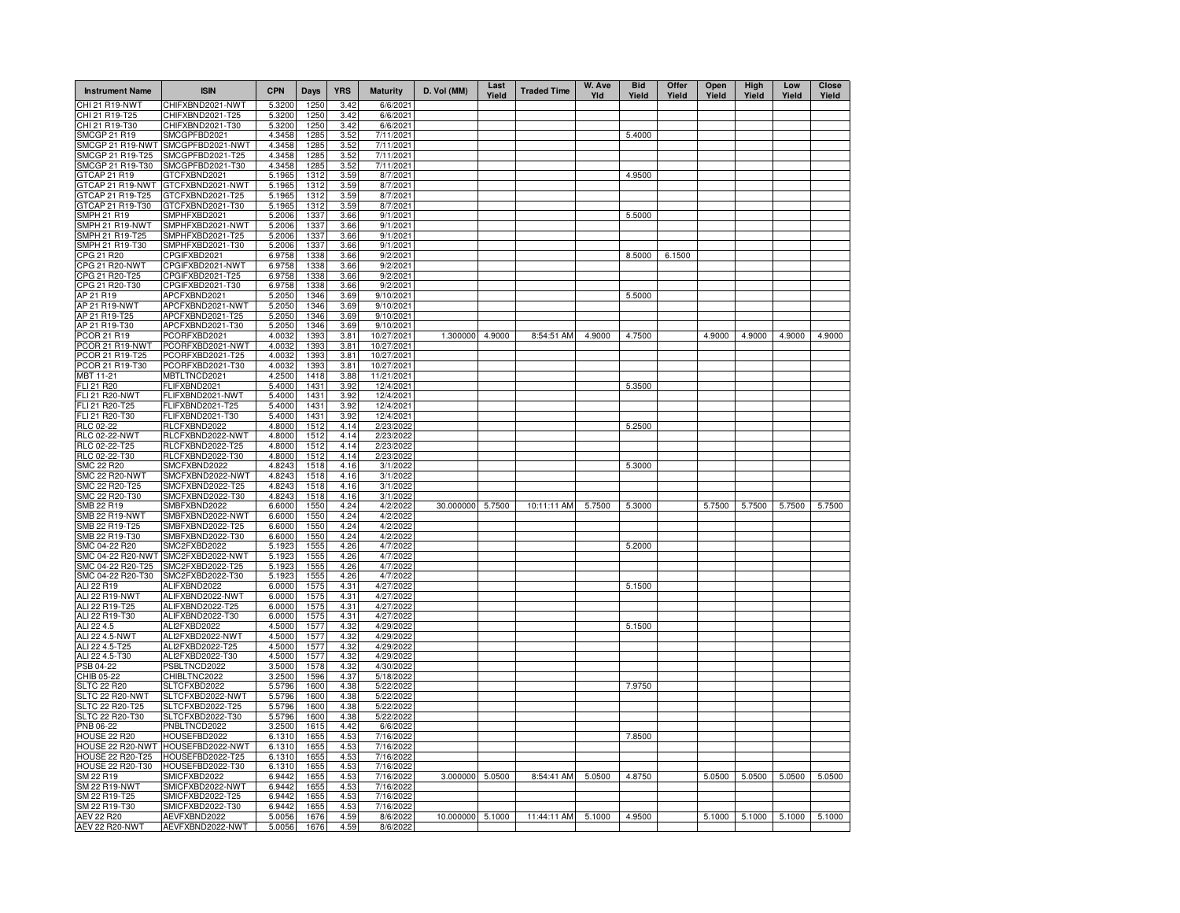| <b>Instrument Name</b>                  | <b>ISIN</b>                          | <b>CPN</b>       | Days         | <b>YRS</b>   | <b>Maturity</b>        | D. Vol (MM)     | Last<br>Yield | <b>Traded Time</b> | W. Ave<br>YId | <b>Bid</b><br>Yield | Offer<br>Yield | Open<br>Yield | High<br>Yield | Low<br>Yield | <b>Close</b><br>Yield |
|-----------------------------------------|--------------------------------------|------------------|--------------|--------------|------------------------|-----------------|---------------|--------------------|---------------|---------------------|----------------|---------------|---------------|--------------|-----------------------|
| CHI 21 R19-NWT                          | CHIFXBND2021-NWT                     | 5.3200           | 1250         | 3.42         | 6/6/2021               |                 |               |                    |               |                     |                |               |               |              |                       |
| CHI 21 R19-T25                          | CHIFXBND2021-T25                     | 5.3200           | 1250         | 3.42         | 6/6/2021               |                 |               |                    |               |                     |                |               |               |              |                       |
| CHI 21 R19-T30                          | CHIFXBND2021-T30                     | 5.3200           | 1250         | 3.42         | 6/6/2021               |                 |               |                    |               |                     |                |               |               |              |                       |
| <b>SMCGP 21 R19</b><br>SMCGP 21 R19-NWT | SMCGPFBD2021<br>SMCGPFBD2021-NWT     | 4.3458<br>4.3458 | 1285<br>1285 | 3.52<br>3.52 | 7/11/2021<br>7/11/2021 |                 |               |                    |               | 5.4000              |                |               |               |              |                       |
| SMCGP 21 R19-T25                        | SMCGPFBD2021-T25                     | 4.3458           | 1285         | 3.52         | 7/11/202               |                 |               |                    |               |                     |                |               |               |              |                       |
| SMCGP 21 R19-T30                        | SMCGPFBD2021-T30                     | 4.3458           | 1285         | 3.52         | 7/11/202               |                 |               |                    |               |                     |                |               |               |              |                       |
| GTCAP 21 R19                            | GTCFXBND2021                         | 5.1965           | 1312         | 3.59         | 8/7/2021               |                 |               |                    |               | 4.9500              |                |               |               |              |                       |
| GTCAP 21 R19-NWT                        | GTCFXBND2021-NWT                     | 5.1965           | 1312         | 3.59         | 8/7/2021               |                 |               |                    |               |                     |                |               |               |              |                       |
| GTCAP 21 R19-T25                        | GTCFXBND2021-T25                     | 5.1965           | 1312         | 3.59         | 8/7/2021               |                 |               |                    |               |                     |                |               |               |              |                       |
| GTCAP 21 R19-T30                        | GTCFXBND2021-T30                     | 5.1965           | 1312         | 3.59         | 8/7/2021               |                 |               |                    |               |                     |                |               |               |              |                       |
| SMPH 21 R19                             | SMPHFXBD2021                         | 5.2006           | 1337         | 3.66         | 9/1/2021               |                 |               |                    |               | 5.5000              |                |               |               |              |                       |
| SMPH 21 R19-NWT                         | SMPHFXBD2021-NWT                     | 5.2006           | 1337         | 3.66         | 9/1/2021               |                 |               |                    |               |                     |                |               |               |              |                       |
| SMPH 21 R19-T25                         | SMPHFXBD2021-T25                     | 5.2006           | 1337         | 3.66         | 9/1/2021               |                 |               |                    |               |                     |                |               |               |              |                       |
| SMPH 21 R19-T30                         | SMPHFXBD2021-T30                     | 5.2006           | 1337         | 3.66         | 9/1/2021               |                 |               |                    |               |                     |                |               |               |              |                       |
| CPG 21 R20<br>CPG 21 R20-NWT            | CPGIFXBD2021<br>CPGIFXBD2021-NWT     | 6.9758<br>6.9758 | 1338<br>1338 | 3.66<br>3.66 | 9/2/2021<br>9/2/2021   |                 |               |                    |               | 8.5000              | 6.1500         |               |               |              |                       |
| CPG 21 R20-T25                          | CPGIFXBD2021-T25                     | 6.9758           | 1338         | 3.66         | 9/2/2021               |                 |               |                    |               |                     |                |               |               |              |                       |
| CPG 21 R20-T30                          | CPGIFXBD2021-T30                     | 6.9758           | 1338         | 3.66         | 9/2/2021               |                 |               |                    |               |                     |                |               |               |              |                       |
| AP 21 R19                               | APCFXBND2021                         | 5.2050           | 1346         | 3.69         | 9/10/2021              |                 |               |                    |               | 5.5000              |                |               |               |              |                       |
| AP 21 R19-NWT                           | APCFXBND2021-NWT                     | 5.2050           | 1346         | 3.69         | 9/10/2021              |                 |               |                    |               |                     |                |               |               |              |                       |
| AP 21 R19-T25                           | APCFXBND2021-T25                     | 5.2050           | 1346         | 3.69         | 9/10/2021              |                 |               |                    |               |                     |                |               |               |              |                       |
| AP 21 R19-T30                           | APCFXBND2021-T30                     | 5.2050           | 1346         | 3.69         | 9/10/2021              |                 |               |                    |               |                     |                |               |               |              |                       |
| PCOR 21 R19                             | PCORFXBD2021                         | 4.0032           | 1393         | 3.81         | 10/27/2021             | 1.300000        | 4.9000        | 8:54:51 AM         | 4.9000        | 4.7500              |                | 4.9000        | 4.9000        | 4.9000       | 4.9000                |
| PCOR 21 R19-NWT                         | PCORFXBD2021-NWT                     | 4.0032           | 1393         | 3.81         | 10/27/2021             |                 |               |                    |               |                     |                |               |               |              |                       |
| PCOR 21 R19-T25                         | PCORFXBD2021-T25                     | 4.0032           | 1393         | 3.81         | 10/27/2021             |                 |               |                    |               |                     |                |               |               |              |                       |
| PCOR 21 R19-T30                         | PCORFXBD2021-T30                     | 4.0032           | 1393         | 3.81         | 10/27/2021             |                 |               |                    |               |                     |                |               |               |              |                       |
| MBT 11-21                               | MBTLTNCD2021                         | 4.2500           | 1418         | 3.88         | 11/21/2021             |                 |               |                    |               |                     |                |               |               |              |                       |
| FLI 21 R20                              | FLIFXBND2021                         | 5.4000           | 1431         | 3.92         | 12/4/2021              |                 |               |                    |               | 5.3500              |                |               |               |              |                       |
| <b>FLI 21 R20-NWT</b>                   | FLIFXBND2021-NWT                     | 5.4000           | 1431         | 3.92         | 12/4/2021              |                 |               |                    |               |                     |                |               |               |              |                       |
| FLI 21 R20-T25                          | FLIFXBND2021-T25<br>FLIFXBND2021-T30 | 5.4000<br>5.4000 | 1431<br>1431 | 3.92         | 12/4/2021              |                 |               |                    |               |                     |                |               |               |              |                       |
| FLI 21 R20-T30<br>RLC 02-22             | RLCFXBND2022                         | 4.8000           | 1512         | 3.92<br>4.14 | 12/4/2021<br>2/23/2022 |                 |               |                    |               | 5.2500              |                |               |               |              |                       |
| <b>RLC 02-22-NWT</b>                    | RLCFXBND2022-NWT                     | 4.8000           | 1512         | 4.14         | 2/23/2022              |                 |               |                    |               |                     |                |               |               |              |                       |
| RLC 02-22-T25                           | RLCFXBND2022-T25                     | 4.8000           | 1512         | 4.14         | 2/23/2022              |                 |               |                    |               |                     |                |               |               |              |                       |
| RLC 02-22-T30                           | RLCFXBND2022-T30                     | 4.8000           | 1512         | 4.14         | 2/23/2022              |                 |               |                    |               |                     |                |               |               |              |                       |
| <b>SMC 22 R20</b>                       | SMCFXBND2022                         | 4.8243           | 1518         | 4.16         | 3/1/2022               |                 |               |                    |               | 5.3000              |                |               |               |              |                       |
| <b>SMC 22 R20-NWT</b>                   | SMCFXBND2022-NWT                     | 4.8243           | 1518         | 4.16         | 3/1/2022               |                 |               |                    |               |                     |                |               |               |              |                       |
| SMC 22 R20-T25                          | SMCFXBND2022-T25                     | 4.8243           | 1518         | 4.16         | 3/1/2022               |                 |               |                    |               |                     |                |               |               |              |                       |
| SMC 22 R20-T30                          | SMCFXBND2022-T30                     | 4.8243           | 1518         | 4.16         | 3/1/2022               |                 |               |                    |               |                     |                |               |               |              |                       |
| SMB 22 R19                              | SMBFXBND2022                         | 6.6000           | 1550         | 4.24         | 4/2/2022               | 30.000000       | 5.7500        | 10:11:11 AM        | 5.7500        | 5.3000              |                | 5.7500        | 5.7500        | 5.7500       | 5.7500                |
| SMB 22 R19-NWT                          | SMBFXBND2022-NWT                     | 6.6000           | 1550         | 4.24         | 4/2/2022               |                 |               |                    |               |                     |                |               |               |              |                       |
| SMB 22 R19-T25                          | SMBFXBND2022-T25                     | 6.6000           | 1550         | 4.24         | 4/2/2022               |                 |               |                    |               |                     |                |               |               |              |                       |
| SMB 22 R19-T30                          | SMBFXBND2022-T30                     | 6.6000           | 1550         | 4.24         | 4/2/2022               |                 |               |                    |               |                     |                |               |               |              |                       |
| SMC 04-22 R20<br>SMC 04-22 R20-NWT      | SMC2FXBD2022<br>SMC2FXBD2022-NWT     | 5.1923<br>5.1923 | 1555<br>1555 | 4.26<br>4.26 | 4/7/2022<br>4/7/2022   |                 |               |                    |               | 5.2000              |                |               |               |              |                       |
| SMC 04-22 R20-T25                       | SMC2FXBD2022-T25                     | 5.1923           | 1555         | 4.26         | 4/7/2022               |                 |               |                    |               |                     |                |               |               |              |                       |
| SMC 04-22 R20-T30                       | SMC2FXBD2022-T30                     | 5.1923           | 1555         | 4.26         | 4/7/2022               |                 |               |                    |               |                     |                |               |               |              |                       |
| ALI 22 R19                              | ALIFXBND2022                         | 6.0000           | 1575         | 4.31         | 4/27/2022              |                 |               |                    |               | 5.1500              |                |               |               |              |                       |
| ALI 22 R19-NWT                          | ALIFXBND2022-NWT                     | 6.0000           | 1575         | 4.31         | 4/27/2022              |                 |               |                    |               |                     |                |               |               |              |                       |
| ALI 22 R19-T25                          | ALIFXBND2022-T25                     | 6.0000           | 1575         | 4.31         | 4/27/2022              |                 |               |                    |               |                     |                |               |               |              |                       |
| ALI 22 R19-T30                          | ALIFXBND2022-T30                     | 6.0000           | 1575         | 4.31         | 4/27/2022              |                 |               |                    |               |                     |                |               |               |              |                       |
| ALI 22 4.5                              | ALI2FXBD2022                         | 4.5000           | 1577         | 4.32         | 4/29/2022              |                 |               |                    |               | 5.1500              |                |               |               |              |                       |
| ALI 22 4.5-NWT                          | ALI2FXBD2022-NWT                     | 4.5000           | 1577         | 4.32         | 4/29/2022              |                 |               |                    |               |                     |                |               |               |              |                       |
| ALI 22 4.5-T25                          | ALI2FXBD2022-T25                     | 4.5000           | 1577         | 4.32         | 4/29/2022              |                 |               |                    |               |                     |                |               |               |              |                       |
| ALI 22 4.5-T30                          | ALI2FXBD2022-T30                     | 4.5000           | 1577         | 4.32         | 4/29/2022              |                 |               |                    |               |                     |                |               |               |              |                       |
| PSB 04-22                               | PSBLTNCD2022                         | 3.5000           | 1578         | 4.32         | 4/30/2022              |                 |               |                    |               |                     |                |               |               |              |                       |
| CHIB 05-22<br><b>SLTC 22 R20</b>        | CHIBLTNC2022<br>SLTCFXBD2022         | 3.2500<br>5.5796 | 1596<br>1600 | 4.37<br>4.38 | 5/18/2022<br>5/22/2022 |                 |               |                    |               | 7.9750              |                |               |               |              |                       |
| SLTC 22 R20-NWT                         | SLTCFXBD2022-NWT                     | 5.5796           | 1600         | 4.38         | 5/22/2022              |                 |               |                    |               |                     |                |               |               |              |                       |
| SLTC 22 R20-T25                         | SLTCFXBD2022-T25                     | 5.5796           | 1600         | 4.38         | 5/22/2022              |                 |               |                    |               |                     |                |               |               |              |                       |
| SLTC 22 R20-T30                         | SLTCFXBD2022-T30                     | 5.5796           | 1600         | 4.38         | 5/22/2022              |                 |               |                    |               |                     |                |               |               |              |                       |
| PNB 06-22                               | PNBLTNCD2022                         | 3.2500           | 1615         | 4.42         | 6/6/2022               |                 |               |                    |               |                     |                |               |               |              |                       |
| HOUSE 22 R20                            | HOUSEFBD2022                         | 6.1310           | 1655         | 4.53         | 7/16/2022              |                 |               |                    |               | 7.8500              |                |               |               |              |                       |
| HOUSE 22 R20-NWT                        | HOUSEFBD2022-NWT                     | 6.1310           | 1655         | 4.53         | 7/16/2022              |                 |               |                    |               |                     |                |               |               |              |                       |
| <b>HOUSE 22 R20-T25</b>                 | HOUSEFBD2022-T25                     | 6.1310           | 1655         | 4.53         | 7/16/2022              |                 |               |                    |               |                     |                |               |               |              |                       |
| HOUSE 22 R20-T30                        | HOUSEFBD2022-T30                     | 6.1310           | 1655         | 4.53         | 7/16/2022              |                 |               |                    |               |                     |                |               |               |              |                       |
| SM 22 R19                               | SMICFXBD202                          | 6.9442           | 1655         | 4.53         | 7/16/2022              | 3.000000 5.0500 |               | 8:54:41 AM         | 5.0500        | 4.8750              |                | 5.0500        | 5.0500        | 5.0500       | 5.0500                |
| <b>SM 22 R19-NWT</b>                    | SMICFXBD2022-NWT                     | 6.9442           | 1655         | 4.53         | 7/16/2022              |                 |               |                    |               |                     |                |               |               |              |                       |
| SM 22 R19-T25                           | SMICFXBD2022-T25                     | 6.9442           | 1655         | 4.53         | 7/16/2022              |                 |               |                    |               |                     |                |               |               |              |                       |
| SM 22 R19-T30                           | SMICFXBD2022-T30                     | 6.9442           | 1655         | 4.53         | 7/16/2022              |                 |               |                    |               |                     |                |               |               |              |                       |
| <b>AEV 22 R20</b>                       | AEVFXBND2022                         | 5.0056           | 1676         | 4.59<br>4.59 | 8/6/2022               | 10.000000       | 5.1000        | 11:44:11 AM        | 5.1000        | 4.9500              |                | 5.1000        | 5.1000        | 5.1000       | 5.1000                |
| <b>AEV 22 R20-NWT</b>                   | AEVFXBND2022-NWT                     | 5.0056           | 1676         |              | 8/6/2022               |                 |               |                    |               |                     |                |               |               |              |                       |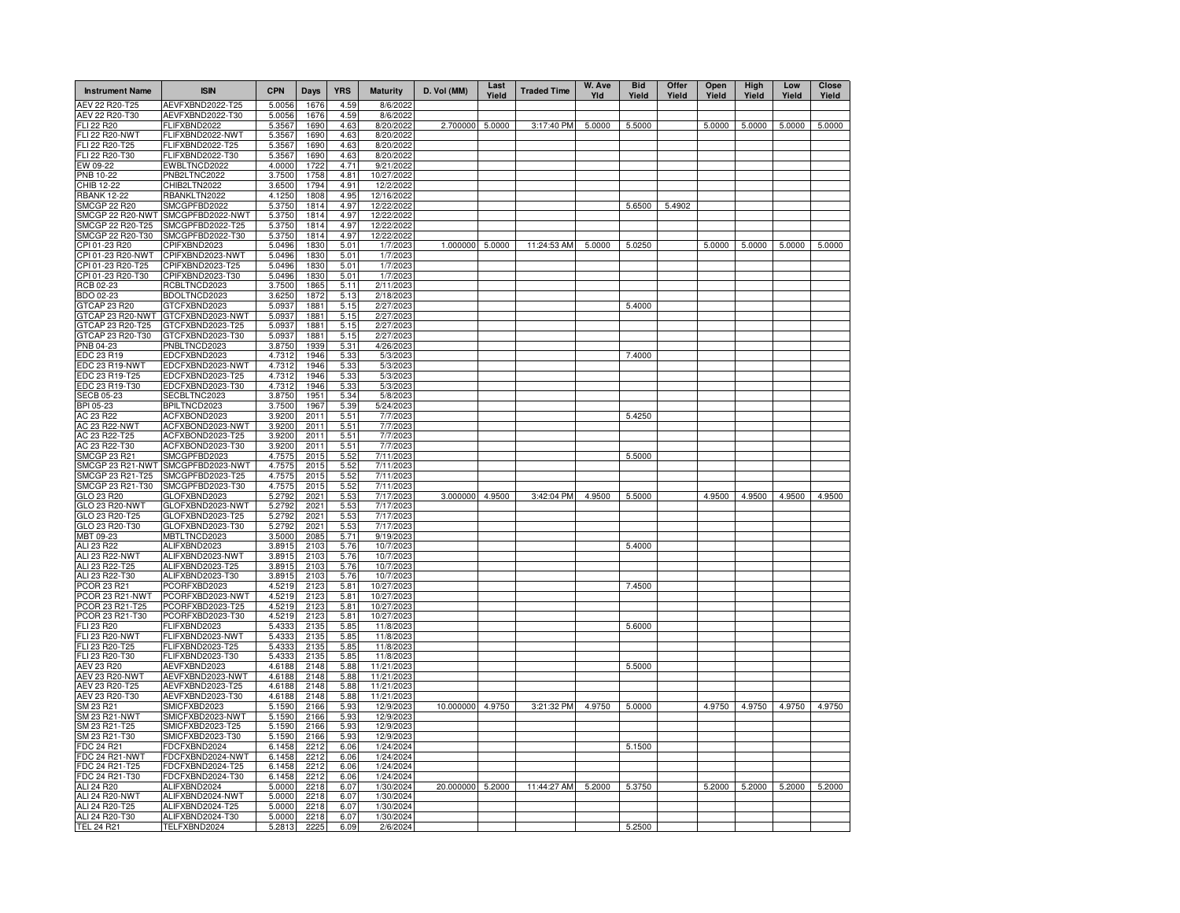| <b>Instrument Name</b>                    | <b>ISIN</b>                          | <b>CPN</b>       | <b>Days</b>  | <b>YRS</b>   | <b>Maturity</b>          | D. Vol (MM) | Last<br>Yield | <b>Traded Time</b> | W. Ave<br>Yld | <b>Bid</b><br>Yield | Offer<br>Yield | Open<br>Yield | High<br>Yield | Low<br>Yield | Close<br>Yield |
|-------------------------------------------|--------------------------------------|------------------|--------------|--------------|--------------------------|-------------|---------------|--------------------|---------------|---------------------|----------------|---------------|---------------|--------------|----------------|
| AEV 22 R20-T25                            | AEVFXBND2022-T25                     | 5.0056           | 1676         | 4.59         | 8/6/2022                 |             |               |                    |               |                     |                |               |               |              |                |
| AEV 22 R20-T30                            | AEVFXBND2022-T30                     | 5.0056           | 1676         | 4.59         | 8/6/2022                 | 2.700000    | 5.0000        | 3:17:40 PM         | 5.0000        | 5.5000              |                | 5.0000        | 5.0000        | 5.0000       | 5.0000         |
| FLI 22 R20<br><b>FLI 22 R20-NWT</b>       | FLIFXBND2022<br>FLIFXBND2022-NWT     | 5.3567<br>5.3567 | 1690<br>1690 | 4.63<br>4.63 | 8/20/2022<br>8/20/2022   |             |               |                    |               |                     |                |               |               |              |                |
| FLI 22 R20-T25                            | FLIFXBND2022-T25                     | 5.3567           | 1690         | 4.63         | 8/20/2022                |             |               |                    |               |                     |                |               |               |              |                |
| FLI 22 R20-T30                            | FLIFXBND2022-T30                     | 5.3567           | 1690         | 4.63         | 8/20/2022                |             |               |                    |               |                     |                |               |               |              |                |
| EW 09-22                                  | EWBLTNCD2022                         | 4.0000           | 1722         | 4.71         | 9/21/2022                |             |               |                    |               |                     |                |               |               |              |                |
| PNB 10-22                                 | PNB2LTNC2022                         | 3.7500           | 1758         | 4.81         | 10/27/2022               |             |               |                    |               |                     |                |               |               |              |                |
| CHIB 12-22                                | CHIB2LTN2022                         | 3.6500           | 1794         | 4.91         | 12/2/2022                |             |               |                    |               |                     |                |               |               |              |                |
| <b>RBANK 12-22</b><br><b>SMCGP 22 R20</b> | RBANKLTN2022<br>SMCGPFBD2022         | 4.1250<br>5.3750 | 1808<br>1814 | 4.95<br>4.97 | 12/16/2022<br>12/22/2022 |             |               |                    |               | 5.6500              | 5.4902         |               |               |              |                |
| SMCGP 22 R20-NWT                          | SMCGPFBD2022-NWT                     | 5.3750           | 1814         | 4.97         | 12/22/2022               |             |               |                    |               |                     |                |               |               |              |                |
| SMCGP 22 R20-T25                          | SMCGPFBD2022-T25                     | 5.3750           | 1814         | 4.97         | 12/22/2022               |             |               |                    |               |                     |                |               |               |              |                |
| SMCGP 22 R20-T30                          | SMCGPFBD2022-T30                     | 5.3750           | 1814         | 4.97         | 12/22/2022               |             |               |                    |               |                     |                |               |               |              |                |
| CPI 01-23 R20                             | CPIFXBND2023                         | 5.0496           | 1830         | 5.01         | 1/7/2023                 | 1.000000    | 5.0000        | 11:24:53 AM        | 5.0000        | 5.0250              |                | 5.0000        | 5.0000        | 5.0000       | 5.0000         |
| CPI 01-23 R20-NWT                         | CPIFXBND2023-NWT                     | 5.0496           | 1830         | 5.01         | 1/7/2023                 |             |               |                    |               |                     |                |               |               |              |                |
| CPI 01-23 R20-T25                         | CPIFXBND2023-T25                     | 5.0496           | 1830         | 5.01         | 1/7/2023                 |             |               |                    |               |                     |                |               |               |              |                |
| CPI 01-23 R20-T30<br>RCB 02-23            | CPIFXBND2023-T30<br>RCBLTNCD2023     | 5.0496<br>3.7500 | 1830<br>1865 | 5.01<br>5.11 | 1/7/2023<br>2/11/2023    |             |               |                    |               |                     |                |               |               |              |                |
| BDO 02-23                                 | BDOLTNCD2023                         | 3.6250           | 1872         | 5.13         | 2/18/2023                |             |               |                    |               |                     |                |               |               |              |                |
| GTCAP 23 R20                              | GTCFXBND2023                         | 5.0937           | 1881         | 5.15         | 2/27/2023                |             |               |                    |               | 5.4000              |                |               |               |              |                |
| GTCAP 23 R20-NWT                          | GTCFXBND2023-NWT                     | 5.0937           | 1881         | 5.15         | 2/27/2023                |             |               |                    |               |                     |                |               |               |              |                |
| GTCAP 23 R20-T25                          | GTCFXBND2023-T25                     | 5.0937           | 1881         | 5.15         | 2/27/2023                |             |               |                    |               |                     |                |               |               |              |                |
| GTCAP 23 R20-T30                          | GTCFXBND2023-T30                     | 5.0937           | 1881         | 5.15         | 2/27/2023                |             |               |                    |               |                     |                |               |               |              |                |
| PNB 04-23                                 | PNBLTNCD2023                         | 3.8750           | 1939         | 5.31         | 4/26/2023                |             |               |                    |               |                     |                |               |               |              |                |
| EDC 23 R19                                | EDCFXBND2023                         | 4.7312           | 1946<br>1946 | 5.33         | 5/3/2023                 |             |               |                    |               | 7.4000              |                |               |               |              |                |
| EDC 23 R19-NWT<br>EDC 23 R19-T25          | EDCFXBND2023-NWT<br>EDCFXBND2023-T25 | 4.7312<br>4.7312 | 1946         | 5.33<br>5.33 | 5/3/2023<br>5/3/2023     |             |               |                    |               |                     |                |               |               |              |                |
| EDC 23 R19-T30                            | EDCFXBND2023-T30                     | 4.7312           | 1946         | 5.33         | 5/3/2023                 |             |               |                    |               |                     |                |               |               |              |                |
| <b>SECB 05-23</b>                         | SECBLTNC2023                         | 3.8750           | 1951         | 5.34         | 5/8/2023                 |             |               |                    |               |                     |                |               |               |              |                |
| BPI 05-23                                 | BPILTNCD2023                         | 3.7500           | 1967         | 5.39         | 5/24/2023                |             |               |                    |               |                     |                |               |               |              |                |
| AC 23 R22                                 | ACFXBOND2023                         | 3.9200           | 2011         | 5.51         | 7/7/2023                 |             |               |                    |               | 5.4250              |                |               |               |              |                |
| AC 23 R22-NWT                             | ACFXBOND2023-NWT                     | 3.9200           | 2011         | 5.51         | 7/7/2023                 |             |               |                    |               |                     |                |               |               |              |                |
| AC 23 R22-T25                             | ACFXBOND2023-T25                     | 3.9200           | 2011         | 5.51         | 7/7/2023                 |             |               |                    |               |                     |                |               |               |              |                |
| AC 23 R22-T30<br><b>SMCGP 23 R21</b>      | ACFXBOND2023-T30<br>SMCGPFBD2023     | 3.9200<br>4.7575 | 2011<br>2015 | 5.51<br>5.52 | 7/7/2023<br>7/11/2023    |             |               |                    |               | 5.5000              |                |               |               |              |                |
| SMCGP 23 R21-NWT                          | SMCGPFBD2023-NWT                     | 4.7575           | 2015         | 5.52         | 7/11/2023                |             |               |                    |               |                     |                |               |               |              |                |
| SMCGP 23 R21-T25                          | SMCGPFBD2023-T25                     | 4.7575           | 2015         | 5.52         | 7/11/2023                |             |               |                    |               |                     |                |               |               |              |                |
| SMCGP 23 R21-T30                          | SMCGPFBD2023-T30                     | 4.7575           | 2015         | 5.52         | 7/11/2023                |             |               |                    |               |                     |                |               |               |              |                |
| GLO 23 R20                                | GLOFXBND2023                         | 5.2792           | 2021         | 5.53         | 7/17/2023                | 3.000000    | 4.9500        | 3:42:04 PM         | 4.9500        | 5.5000              |                | 4.9500        | 4.9500        | 4.9500       | 4.9500         |
| GLO 23 R20-NWT                            | GLOFXBND2023-NWT                     | 5.2792           | 2021         | 5.53         | 7/17/2023                |             |               |                    |               |                     |                |               |               |              |                |
| GLO 23 R20-T25                            | GLOFXBND2023-T25                     | 5.2792           | 2021         | 5.53         | 7/17/2023                |             |               |                    |               |                     |                |               |               |              |                |
| GLO 23 R20-T30<br>MBT 09-23               | GLOFXBND2023-T30<br>MBTLTNCD2023     | 5.2792<br>3.5000 | 2021<br>2085 | 5.53<br>5.71 | 7/17/2023<br>9/19/2023   |             |               |                    |               |                     |                |               |               |              |                |
| ALI 23 R22                                | ALIFXBND2023                         | 3.8915           | 2103         | 5.76         | 10/7/2023                |             |               |                    |               | 5.4000              |                |               |               |              |                |
| ALI 23 R22-NWT                            | ALIFXBND2023-NWT                     | 3.8915           | 2103         | 5.76         | 10/7/2023                |             |               |                    |               |                     |                |               |               |              |                |
| ALI 23 R22-T25                            | ALIFXBND2023-T25                     | 3.8915           | 2103         | 5.76         | 10/7/2023                |             |               |                    |               |                     |                |               |               |              |                |
| ALI 23 R22-T30                            | ALIFXBND2023-T30                     | 3.8915           | 2103         | 5.76         | 10/7/2023                |             |               |                    |               |                     |                |               |               |              |                |
| PCOR 23 R21                               | PCORFXBD2023                         | 4.5219           | 2123         | 5.81         | 10/27/2023               |             |               |                    |               | 7.4500              |                |               |               |              |                |
| PCOR 23 R21-NWT                           | PCORFXBD2023-NWT                     | 4.5219           | 2123         | 5.81         | 10/27/2023               |             |               |                    |               |                     |                |               |               |              |                |
| PCOR 23 R21-T25<br>PCOR 23 R21-T30        | PCORFXBD2023-T25<br>PCORFXBD2023-T30 | 4.5219<br>4.5219 | 2123<br>2123 | 5.81<br>5.81 | 10/27/2023<br>10/27/2023 |             |               |                    |               |                     |                |               |               |              |                |
| FLI 23 R20                                | FLIFXBND2023                         | 5.4333           | 2135         | 5.85         | 11/8/2023                |             |               |                    |               | 5.6000              |                |               |               |              |                |
| FLI 23 R20-NWT                            | FLIFXBND2023-NWT                     | 5.4333           | 2135         | 5.85         | 11/8/2023                |             |               |                    |               |                     |                |               |               |              |                |
| FLI 23 R20-T25                            | FLIFXBND2023-T25                     | 5.4333           | 2135         | 5.85         | 11/8/2023                |             |               |                    |               |                     |                |               |               |              |                |
| FLI 23 R20-T30                            | FLIFXBND2023-T30                     | 5.4333           | 2135         | 5.85         | 11/8/2023                |             |               |                    |               |                     |                |               |               |              |                |
| <b>AEV 23 R20</b>                         | AEVFXBND2023                         | 4.6188           | 2148         | 5.88         | 11/21/2023               |             |               |                    |               | 5.5000              |                |               |               |              |                |
| AEV 23 R20-NWT                            | AEVFXBND2023-NWT                     | 4.6188           | 2148         | 5.88         | 11/21/2023               |             |               |                    |               |                     |                |               |               |              |                |
| AEV 23 R20-T25<br>AEV 23 R20-T30          | AEVFXBND2023-T25<br>AEVFXBND2023-T30 | 4.6188<br>4.6188 | 2148<br>2148 | 5.88<br>5.88 | 11/21/2023<br>11/21/2023 |             |               |                    |               |                     |                |               |               |              |                |
| SM 23 R21                                 | SMICFXBD2023                         | 5.1590           | 2166         | 5.93         | 12/9/2023                | 10.000000   | 4.9750        | 3:21:32 PM         | 4.9750        | 5.0000              |                | 4.9750        | 4.9750        | 4.9750       | 4.9750         |
| SM 23 R21-NWT                             | SMICFXBD2023-NWT                     | 5.1590           | 2166         | 5.93         | 12/9/2023                |             |               |                    |               |                     |                |               |               |              |                |
| SM 23 R21-T25                             | SMICFXBD2023-T25                     | 5.1590           | 2166         | 5.93         | 12/9/2023                |             |               |                    |               |                     |                |               |               |              |                |
| SM 23 R21-T30                             | SMICFXBD2023-T30                     | 5.1590           | 2166         | 5.93         | 12/9/2023                |             |               |                    |               |                     |                |               |               |              |                |
| FDC 24 R21                                | FDCFXBND2024                         | 6.1458           | 2212         | 6.06         | 1/24/2024                |             |               |                    |               | 5.1500              |                |               |               |              |                |
| FDC 24 R21-NWT                            | FDCFXBND2024-NWT                     | 6.1458           | 2212         | 6.06         | 1/24/2024                |             |               |                    |               |                     |                |               |               |              |                |
| FDC 24 R21-T25                            | FDCFXBND2024-T25                     | 6.1458           | 2212         | 6.06         | 1/24/2024                |             |               |                    |               |                     |                |               |               |              |                |
| FDC 24 R21-T30<br>ALI 24 R20              | FDCFXBND2024-T30<br>ALIFXBND2024     | 6.1458<br>5.0000 | 2212<br>2218 | 6.06<br>6.07 | 1/24/2024<br>1/30/2024   | 20.000000   | 5.2000        | 11:44:27 AM        | 5.2000        | 5.3750              |                | 5.2000        | 5.2000        | 5.2000       | 5.2000         |
| ALI 24 R20-NWT                            | ALIFXBND2024-NWT                     | 5.0000           | 2218         | 6.07         | 1/30/2024                |             |               |                    |               |                     |                |               |               |              |                |
| ALI 24 R20-T25                            | ALIFXBND2024-T25                     | 5.0000           | 2218         | 6.07         | 1/30/2024                |             |               |                    |               |                     |                |               |               |              |                |
| ALI 24 R20-T30                            | ALIFXBND2024-T30                     | 5.0000           | 2218         | 6.07         | 1/30/2024                |             |               |                    |               |                     |                |               |               |              |                |
| <b>TEL 24 R21</b>                         | TELFXBND2024                         | 5.2813           | 2225         | 6.09         | 2/6/2024                 |             |               |                    |               | 5.2500              |                |               |               |              |                |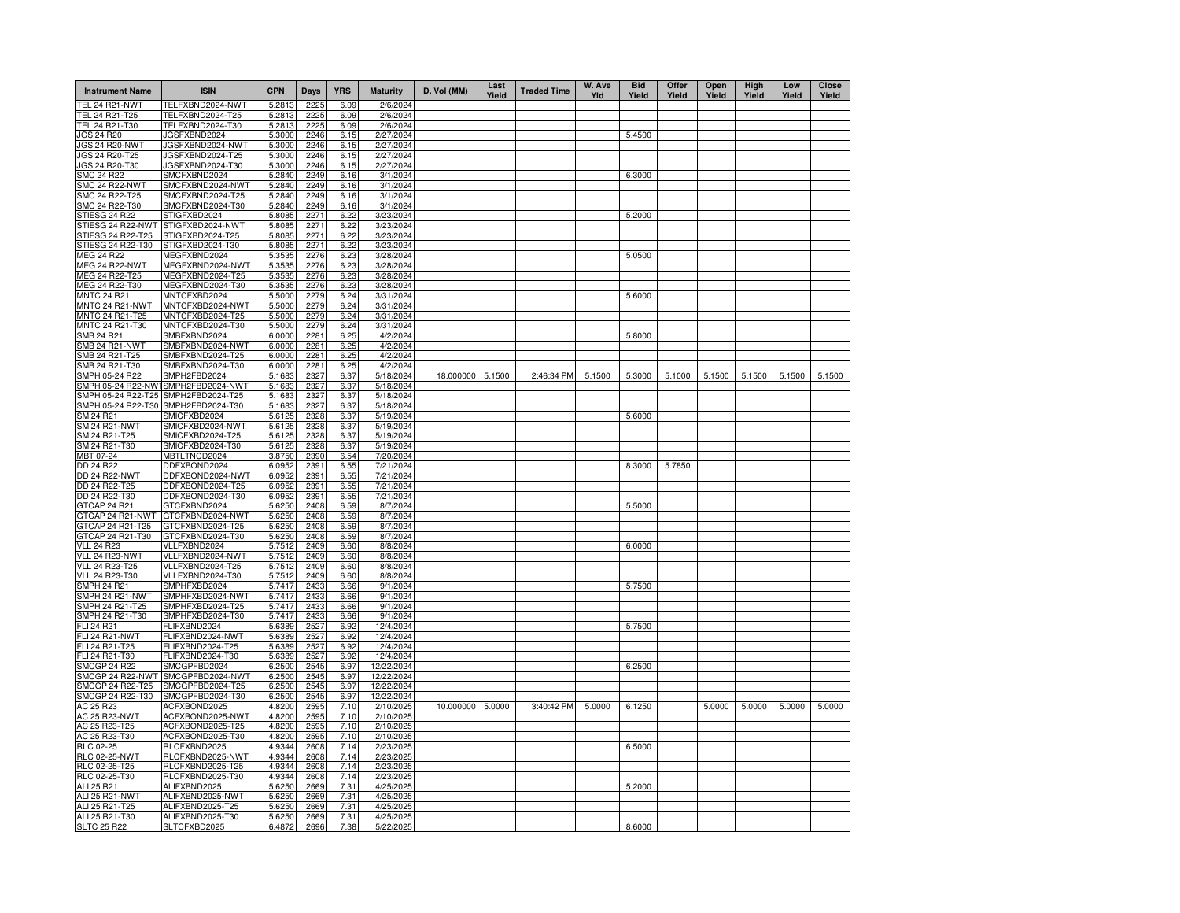| <b>Instrument Name</b>                 | <b>ISIN</b>                          | <b>CPN</b>       | Days         | <b>YRS</b>   | <b>Maturity</b>        | D. Vol (MM)      | Last<br>Yield | <b>Traded Time</b> | W. Ave<br>Yld | <b>Bid</b><br>Yield | Offer<br>Yield | Open<br>Yield | High<br>Yield | Low<br>Yield | <b>Close</b><br>Yield |
|----------------------------------------|--------------------------------------|------------------|--------------|--------------|------------------------|------------------|---------------|--------------------|---------------|---------------------|----------------|---------------|---------------|--------------|-----------------------|
| TEL 24 R21-NWT                         | TELFXBND2024-NWT                     | 5.2813           | 2225         | 6.09         | 2/6/2024               |                  |               |                    |               |                     |                |               |               |              |                       |
| TEL 24 R21-T25                         | TELFXBND2024-T25                     | 5.2813           | 2225         | 6.09         | 2/6/2024               |                  |               |                    |               |                     |                |               |               |              |                       |
| TEL 24 R21-T30<br>JGS 24 R20           | TELFXBND2024-T30<br>JGSFXBND2024     | 5.2813           | 2225<br>2246 | 6.09         | 2/6/2024<br>2/27/2024  |                  |               |                    |               | 5.4500              |                |               |               |              |                       |
| <b>JGS 24 R20-NWT</b>                  | JGSFXBND2024-NWT                     | 5.3000<br>5.3000 | 2246         | 6.15<br>6.15 | 2/27/2024              |                  |               |                    |               |                     |                |               |               |              |                       |
| JGS 24 R20-T25                         | JGSFXBND2024-T25                     | 5.3000           | 2246         | 6.15         | 2/27/2024              |                  |               |                    |               |                     |                |               |               |              |                       |
| JGS 24 R20-T30                         | JGSFXBND2024-T30                     | 5.3000           | 2246         | 6.15         | 2/27/2024              |                  |               |                    |               |                     |                |               |               |              |                       |
| <b>SMC 24 R22</b>                      | SMCFXBND2024                         | 5.2840           | 2249         | 6.16         | 3/1/2024               |                  |               |                    |               | 6.3000              |                |               |               |              |                       |
| <b>SMC 24 R22-NWT</b>                  | SMCFXBND2024-NWT                     | 5.2840           | 2249         | 6.16         | 3/1/2024               |                  |               |                    |               |                     |                |               |               |              |                       |
| SMC 24 R22-T25                         | SMCFXBND2024-T25                     | 5.2840           | 2249         | 6.16         | 3/1/2024               |                  |               |                    |               |                     |                |               |               |              |                       |
| SMC 24 R22-T30                         | SMCFXBND2024-T30                     | 5.2840           | 2249         | 6.16         | 3/1/2024               |                  |               |                    |               |                     |                |               |               |              |                       |
| STIESG 24 R22                          | STIGFXBD2024                         | 5.8085           | 2271         | 6.22         | 3/23/2024              |                  |               |                    |               | 5.2000              |                |               |               |              |                       |
| STIESG 24 R22-NWT                      | STIGFXBD2024-NWT                     | 5.8085           | 2271         | 6.22         | 3/23/2024              |                  |               |                    |               |                     |                |               |               |              |                       |
| STIESG 24 R22-T25<br>STIESG 24 R22-T30 | STIGFXBD2024-T25<br>STIGFXBD2024-T30 | 5.8085<br>5.8085 | 2271<br>2271 | 6.22<br>6.22 | 3/23/2024<br>3/23/2024 |                  |               |                    |               |                     |                |               |               |              |                       |
| <b>MEG 24 R22</b>                      | MEGFXBND2024                         | 5.3535           | 2276         | 6.23         | 3/28/2024              |                  |               |                    |               | 5.0500              |                |               |               |              |                       |
| <b>MEG 24 R22-NWT</b>                  | MEGFXBND2024-NWT                     | 5.3535           | 2276         | 6.23         | 3/28/2024              |                  |               |                    |               |                     |                |               |               |              |                       |
| MEG 24 R22-T25                         | MEGFXBND2024-T25                     | 5.3535           | 2276         | 6.23         | 3/28/2024              |                  |               |                    |               |                     |                |               |               |              |                       |
| MEG 24 R22-T30                         | MEGFXBND2024-T30                     | 5.3535           | 2276         | 6.23         | 3/28/2024              |                  |               |                    |               |                     |                |               |               |              |                       |
| <b>MNTC 24 R21</b>                     | MNTCFXBD2024                         | 5.5000           | 2279         | 6.24         | 3/31/2024              |                  |               |                    |               | 5.6000              |                |               |               |              |                       |
| MNTC 24 R21-NWT                        | MNTCFXBD2024-NWT                     | 5.5000           | 2279         | 6.24         | 3/31/2024              |                  |               |                    |               |                     |                |               |               |              |                       |
| MNTC 24 R21-T25                        | MNTCFXBD2024-T25                     | 5.5000           | 2279         | 6.24         | 3/31/2024              |                  |               |                    |               |                     |                |               |               |              |                       |
| MNTC 24 R21-T30                        | MNTCFXBD2024-T30                     | 5.5000           | 2279         | 6.24         | 3/31/2024              |                  |               |                    |               |                     |                |               |               |              |                       |
| SMB 24 R21                             | SMBFXBND2024                         | 6.0000           | 2281         | 6.25         | 4/2/2024               |                  |               |                    |               | 5.8000              |                |               |               |              |                       |
| SMB 24 R21-NWT<br>SMB 24 R21-T25       | SMBFXBND2024-NWT<br>SMBFXBND2024-T25 | 6.0000<br>6.0000 | 2281<br>2281 | 6.25<br>6.25 | 4/2/2024<br>4/2/2024   |                  |               |                    |               |                     |                |               |               |              |                       |
| SMB 24 R21-T30                         | SMBFXBND2024-T30                     | 6.0000           | 2281         | 6.25         | 4/2/2024               |                  |               |                    |               |                     |                |               |               |              |                       |
| SMPH 05-24 R22                         | SMPH2FBD2024                         | 5.1683           | 2327         | 6.37         | 5/18/2024              | 18.000000        | 5.1500        | 2:46:34 PM         | 5.1500        | 5.3000              | 5.1000         | 5.1500        | 5.1500        | 5.1500       | 5.1500                |
| SMPH 05-24 R22-NW                      | SMPH2FBD2024-NWT                     | 5.1683           | 2327         | 6.37         | 5/18/2024              |                  |               |                    |               |                     |                |               |               |              |                       |
| SMPH 05-24 R22-T25                     | SMPH2FBD2024-T25                     | 5.1683           | 2327         | 6.37         | 5/18/2024              |                  |               |                    |               |                     |                |               |               |              |                       |
| SMPH 05-24 R22-T30                     | SMPH2FBD2024-T30                     | 5.168            | 2327         | 6.37         | 5/18/2024              |                  |               |                    |               |                     |                |               |               |              |                       |
| SM 24 R21                              | SMICFXBD2024                         | 5.6125           | 2328         | 6.37         | 5/19/2024              |                  |               |                    |               | 5.6000              |                |               |               |              |                       |
| SM 24 R21-NWT                          | SMICFXBD2024-NWT                     | 5.6125           | 2328         | 6.37         | 5/19/2024              |                  |               |                    |               |                     |                |               |               |              |                       |
| SM 24 R21-T25                          | SMICFXBD2024-T25                     | 5.6125           | 2328         | 6.37         | 5/19/2024              |                  |               |                    |               |                     |                |               |               |              |                       |
| SM 24 R21-T30<br>MBT 07-24             | SMICFXBD2024-T30<br>MBTLTNCD2024     | 5.6125<br>3.8750 | 2328<br>2390 | 6.37         | 5/19/2024<br>7/20/2024 |                  |               |                    |               |                     |                |               |               |              |                       |
| DD 24 R22                              | DDFXBOND2024                         | 6.0952           | 2391         | 6.54<br>6.55 | 7/21/2024              |                  |               |                    |               | 8.3000              | 5.7850         |               |               |              |                       |
| <b>DD 24 R22-NWT</b>                   | DDFXBOND2024-NWT                     | 6.0952           | 2391         | 6.55         | 7/21/2024              |                  |               |                    |               |                     |                |               |               |              |                       |
| DD 24 R22-T25                          | DDFXBOND2024-T25                     | 6.0952           | 2391         | 6.55         | 7/21/2024              |                  |               |                    |               |                     |                |               |               |              |                       |
| DD 24 R22-T30                          | DDFXBOND2024-T30                     | 6.0952           | 2391         | 6.55         | 7/21/2024              |                  |               |                    |               |                     |                |               |               |              |                       |
| GTCAP 24 R21                           | GTCFXBND2024                         | 5.6250           | 2408         | 6.59         | 8/7/2024               |                  |               |                    |               | 5.5000              |                |               |               |              |                       |
| GTCAP 24 R21-NWT                       | GTCFXBND2024-NWT                     | 5.6250           | 2408         | 6.59         | 8/7/2024               |                  |               |                    |               |                     |                |               |               |              |                       |
| GTCAP 24 R21-T25                       | GTCFXBND2024-T25                     | 5.6250           | 2408         | 6.59         | 8/7/2024               |                  |               |                    |               |                     |                |               |               |              |                       |
| GTCAP 24 R21-T30                       | GTCFXBND2024-T30                     | 5.6250           | 2408<br>2409 | 6.59         | 8/7/2024               |                  |               |                    |               |                     |                |               |               |              |                       |
| <b>VLL 24 R23</b><br>VLL 24 R23-NWT    | VLLFXBND2024<br>VLLFXBND2024-NWT     | 5.7512<br>5.7512 | 2409         | 6.60<br>6.60 | 8/8/2024<br>8/8/2024   |                  |               |                    |               | 6.0000              |                |               |               |              |                       |
| <b>VLL 24 R23-T25</b>                  | VLLFXBND2024-T25                     | 5.7512           | 2409         | 6.60         | 8/8/2024               |                  |               |                    |               |                     |                |               |               |              |                       |
| VLL 24 R23-T30                         | VLLFXBND2024-T30                     | 5.7512           | 2409         | 6.60         | 8/8/2024               |                  |               |                    |               |                     |                |               |               |              |                       |
| <b>SMPH 24 R21</b>                     | SMPHFXBD2024                         | 5.7417           | 2433         | 6.66         | 9/1/2024               |                  |               |                    |               | 5.7500              |                |               |               |              |                       |
| SMPH 24 R21-NWT                        | SMPHFXBD2024-NWT                     | 5.7417           | 2433         | 6.66         | 9/1/2024               |                  |               |                    |               |                     |                |               |               |              |                       |
| SMPH 24 R21-T25                        | SMPHFXBD2024-T25                     | 5.7417           | 2433         | 6.66         | 9/1/2024               |                  |               |                    |               |                     |                |               |               |              |                       |
| SMPH 24 R21-T30                        | SMPHFXBD2024-T30                     | 5.7417           | 2433         | 6.66         | 9/1/2024               |                  |               |                    |               |                     |                |               |               |              |                       |
| FLI 24 R21                             | FLIFXBND2024                         | 5.6389           | 2527         | 6.92         | 12/4/2024              |                  |               |                    |               | 5.7500              |                |               |               |              |                       |
| <b>FLI 24 R21-NWT</b>                  | FLIFXBND2024-NWT                     | 5.6389           | 2527         | 6.92         | 12/4/2024              |                  |               |                    |               |                     |                |               |               |              |                       |
| FLI 24 R21-T25<br>FLI 24 R21-T30       | FLIFXBND2024-T25<br>FLIFXBND2024-T30 | 5.6389<br>5.6389 | 2527<br>2527 | 6.92<br>6.92 | 12/4/2024<br>12/4/2024 |                  |               |                    |               |                     |                |               |               |              |                       |
| <b>SMCGP 24 R22</b>                    | SMCGPFBD2024                         | 6.2500           | 2545         | 6.97         | 12/22/2024             |                  |               |                    |               | 6.2500              |                |               |               |              |                       |
| SMCGP 24 R22-NWT                       | SMCGPFBD2024-NWT                     | 6.2500           | 2545         | 6.97         | 12/22/2024             |                  |               |                    |               |                     |                |               |               |              |                       |
| SMCGP 24 R22-T25                       | SMCGPFBD2024-T25                     | 6.2500           | 2545         | 6.97         | 12/22/2024             |                  |               |                    |               |                     |                |               |               |              |                       |
| SMCGP 24 R22-T30                       | SMCGPFBD2024-T30                     | 6.2500           | 2545         | 6.97         | 12/22/2024             |                  |               |                    |               |                     |                |               |               |              |                       |
| AC 25 R23                              | ACFXBOND2025                         | 4.8200           | 2595         | 7.10         | 2/10/2025              | 10.000000 5.0000 |               | 3:40:42 PM         | 5.0000        | 6.1250              |                | 5.0000        | 5.0000        | 5.0000       | 5.0000                |
| <b>AC 25 R23-NWT</b>                   | ACFXBOND2025-NWT                     | 4.8200           | 2595         | 7.10         | 2/10/2025              |                  |               |                    |               |                     |                |               |               |              |                       |
| AC 25 R23-T25                          | ACFXBOND2025-T25                     | 4.8200           | 2595         | 7.10         | 2/10/2025              |                  |               |                    |               |                     |                |               |               |              |                       |
| AC 25 R23-T30                          | ACFXBOND2025-T30                     | 4.8200           | 2595         | 7.10         | 2/10/202               |                  |               |                    |               |                     |                |               |               |              |                       |
| <b>RLC 02-25</b>                       | RLCFXBND2025                         | 4.9344           | 2608         | 7.14         | 2/23/202               |                  |               |                    |               | 6.5000              |                |               |               |              |                       |
| <b>RLC 02-25-NWT</b><br>RLC 02-25-T25  | RLCFXBND2025-NWT<br>RLCFXBND2025-T25 | 4.9344<br>4.9344 | 2608<br>2608 | 7.14<br>7.14 | 2/23/202<br>2/23/202   |                  |               |                    |               |                     |                |               |               |              |                       |
| RLC 02-25-T30                          | RLCFXBND2025-T30                     | 4.9344           | 2608         | 7.14         | 2/23/2025              |                  |               |                    |               |                     |                |               |               |              |                       |
| ALI 25 R21                             | ALIFXBND2025                         | 5.6250           | 2669         | 7.31         | 4/25/2025              |                  |               |                    |               | 5.2000              |                |               |               |              |                       |
| ALI 25 R21-NWT                         | ALIFXBND2025-NWT                     | 5.6250           | 2669         | 7.31         | 4/25/2025              |                  |               |                    |               |                     |                |               |               |              |                       |
| ALI 25 R21-T25                         | ALIFXBND2025-T25                     | 5.6250           | 2669         | 7.31         | 4/25/2025              |                  |               |                    |               |                     |                |               |               |              |                       |
| ALI 25 R21-T30                         | ALIFXBND2025-T30                     | 5.6250           | 2669         | 7.31         | 4/25/2025              |                  |               |                    |               |                     |                |               |               |              |                       |
| <b>SLTC 25 R22</b>                     | SLTCFXBD2025                         | 6.4872           | 2696         | 7.38         | 5/22/2025              |                  |               |                    |               | 8.6000              |                |               |               |              |                       |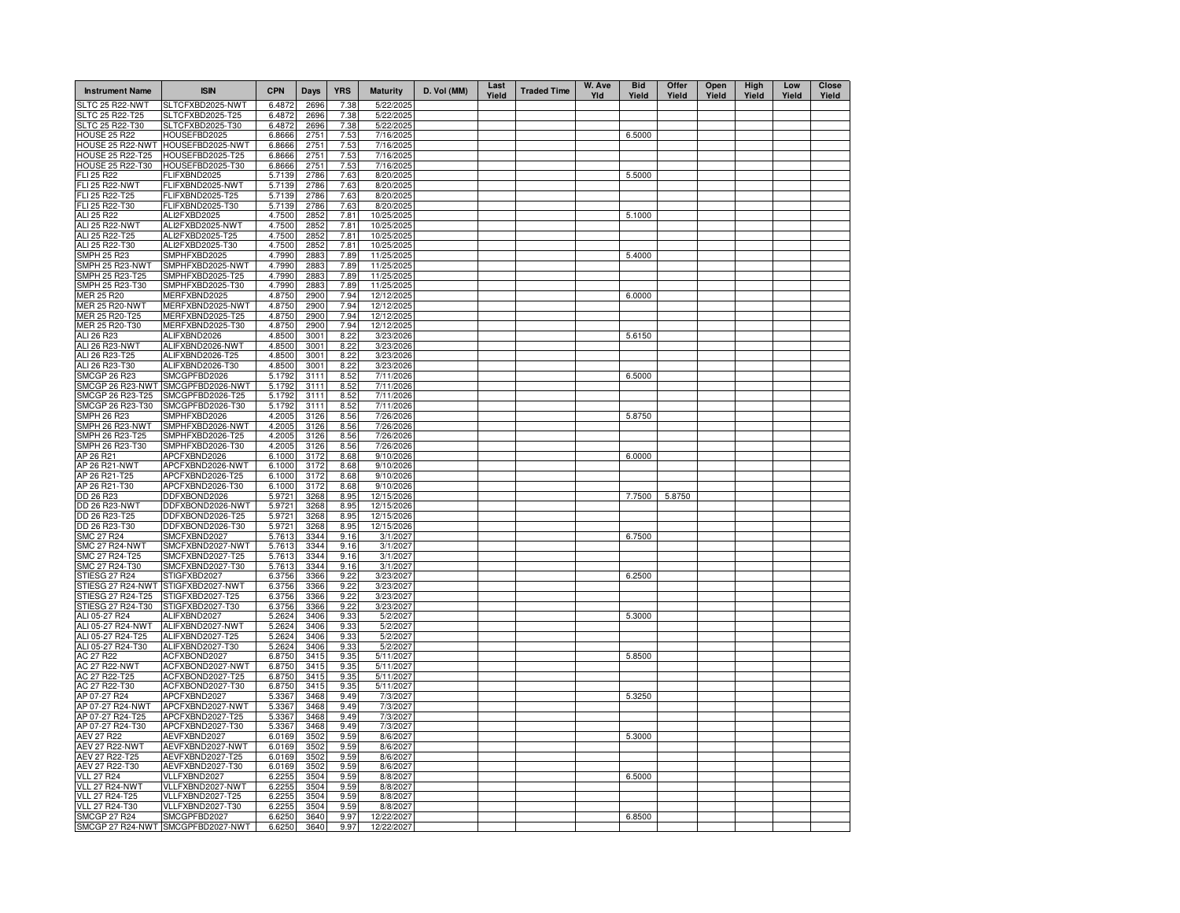| <b>Instrument Name</b>                      | <b>ISIN</b>                          | <b>CPN</b>       | Days         | <b>YRS</b>   | <b>Maturity</b>        | D. Vol (MM) | Last<br>Yield | <b>Traded Time</b> | W. Ave<br>Yld | <b>Bid</b><br>Yield | Offer<br>Yield | Open<br>Yield | High<br>Yield | Low<br>Yield | <b>Close</b><br>Yield |
|---------------------------------------------|--------------------------------------|------------------|--------------|--------------|------------------------|-------------|---------------|--------------------|---------------|---------------------|----------------|---------------|---------------|--------------|-----------------------|
| SLTC 25 R22-NWT                             | SLTCFXBD2025-NWT                     | 6.4872           | 2696         | 7.38         | 5/22/2025              |             |               |                    |               |                     |                |               |               |              |                       |
| SLTC 25 R22-T25                             | SLTCFXBD2025-T25                     | 6.4872           | 2696         | 7.38         | 5/22/2025              |             |               |                    |               |                     |                |               |               |              |                       |
| SLTC 25 R22-T30                             | SLTCFXBD2025-T30                     | 6.4872           | 2696         | 7.38         | 5/22/2025              |             |               |                    |               |                     |                |               |               |              |                       |
| <b>HOUSE 25 R22</b>                         | HOUSEFBD2025                         | 6.8666           | 2751         | 7.53         | 7/16/2025              |             |               |                    |               | 6.5000              |                |               |               |              |                       |
| HOUSE 25 R22-NWT                            | HOUSEFBD2025-NWT                     | 6.8666           | 2751         | 7.53         | 7/16/2025              |             |               |                    |               |                     |                |               |               |              |                       |
| HOUSE 25 R22-T25<br><b>HOUSE 25 R22-T30</b> | HOUSEFBD2025-T25<br>HOUSEFBD2025-T30 | 6.8666<br>6.8666 | 2751<br>2751 | 7.53<br>7.53 | 7/16/2025<br>7/16/2025 |             |               |                    |               |                     |                |               |               |              |                       |
| <b>FLI 25 R22</b>                           | FLIFXBND2025                         | 5.7139           | 2786         | 7.63         | 8/20/2025              |             |               |                    |               | 5.5000              |                |               |               |              |                       |
| FLI 25 R22-NWT                              | FLIFXBND2025-NWT                     | 5.7139           | 2786         | 7.63         | 8/20/2025              |             |               |                    |               |                     |                |               |               |              |                       |
| FLI 25 R22-T25                              | FLIFXBND2025-T25                     | 5.7139           | 2786         | 7.63         | 8/20/2025              |             |               |                    |               |                     |                |               |               |              |                       |
| FLI 25 R22-T30                              | FLIFXBND2025-T30                     | 5.7139           | 2786         | 7.63         | 8/20/2025              |             |               |                    |               |                     |                |               |               |              |                       |
| ALI 25 R22                                  | ALI2FXBD2025                         | 4.7500           | 2852         | 7.81         | 10/25/2025             |             |               |                    |               | 5.1000              |                |               |               |              |                       |
| ALI 25 R22-NWT                              | ALI2FXBD2025-NWT                     | 4.7500           | 285          | 7.81         | 10/25/2025             |             |               |                    |               |                     |                |               |               |              |                       |
| ALI 25 R22-T25                              | ALI2FXBD2025-T25                     | 4.7500           | 285          | 7.81         | 10/25/2025             |             |               |                    |               |                     |                |               |               |              |                       |
| ALI 25 R22-T30                              | ALI2FXBD2025-T30                     | 4.7500           | 2852         | 7.81         | 10/25/2025             |             |               |                    |               |                     |                |               |               |              |                       |
| <b>SMPH 25 R23</b>                          | SMPHFXBD2025                         | 4.7990           | 2883         | 7.89         | 11/25/2025             |             |               |                    |               | 5.4000              |                |               |               |              |                       |
| SMPH 25 R23-NWT                             | SMPHFXBD2025-NWT                     | 4.7990           | 2883         | 7.89         | 11/25/2025             |             |               |                    |               |                     |                |               |               |              |                       |
| SMPH 25 R23-T25                             | SMPHFXBD2025-T25                     | 4.7990           | 2883         | 7.89         | 11/25/2025             |             |               |                    |               |                     |                |               |               |              |                       |
| SMPH 25 R23-T30                             | SMPHFXBD2025-T30                     | 4.7990           | 2883         | 7.89         | 11/25/2025             |             |               |                    |               |                     |                |               |               |              |                       |
| <b>MER 25 R20</b>                           | MERFXBND2025                         | 4.8750           | 2900         | 7.94         | 12/12/2025             |             |               |                    |               | 6.0000              |                |               |               |              |                       |
| <b>MER 25 R20-NWT</b>                       | MERFXBND2025-NWT                     | 4.8750           | 2900         | 7.94         | 12/12/2025             |             |               |                    |               |                     |                |               |               |              |                       |
| MER 25 R20-T25                              | MERFXBND2025-T25                     | 4.8750           | 2900         | 7.94         | 12/12/2025             |             |               |                    |               |                     |                |               |               |              |                       |
| MER 25 R20-T30                              | MERFXBND2025-T30                     | 4.8750           | 2900         | 7.94         | 12/12/2025             |             |               |                    |               |                     |                |               |               |              |                       |
| ALI 26 R23                                  | ALIFXBND2026                         | 4.8500           | 3001         | 8.22         | 3/23/2026              |             |               |                    |               | 5.6150              |                |               |               |              |                       |
| ALI 26 R23-NWT                              | ALIFXBND2026-NWT                     | 4.8500           | 3001         | 8.22         | 3/23/2026              |             |               |                    |               |                     |                |               |               |              |                       |
| ALI 26 R23-T25                              | ALIFXBND2026-T25                     | 4.8500           | 3001         | 8.22         | 3/23/2026              |             |               |                    |               |                     |                |               |               |              |                       |
| ALI 26 R23-T30<br><b>SMCGP 26 R23</b>       | ALIFXBND2026-T30<br>SMCGPFBD2026     | 4.8500<br>5.1792 | 3001<br>3111 | 8.22<br>8.52 | 3/23/2026<br>7/11/2026 |             |               |                    |               | 6.5000              |                |               |               |              |                       |
| SMCGP 26 R23-NWT                            | SMCGPFBD2026-NWT                     | 5.1792           | 3111         | 8.52         | 7/11/2026              |             |               |                    |               |                     |                |               |               |              |                       |
| SMCGP 26 R23-T25                            | SMCGPFBD2026-T25                     | 5.1792           | 3111         | 8.52         | 7/11/2026              |             |               |                    |               |                     |                |               |               |              |                       |
| SMCGP 26 R23-T30                            | SMCGPFBD2026-T30                     | 5.1792           | 3111         | 8.52         | 7/11/2026              |             |               |                    |               |                     |                |               |               |              |                       |
| <b>SMPH 26 R23</b>                          | SMPHFXBD2026                         | 4.2005           | 3126         | 8.56         | 7/26/2026              |             |               |                    |               | 5.8750              |                |               |               |              |                       |
| SMPH 26 R23-NWT                             | SMPHFXBD2026-NWT                     | 4.2005           | 3126         | 8.56         | 7/26/2026              |             |               |                    |               |                     |                |               |               |              |                       |
| SMPH 26 R23-T25                             | SMPHFXBD2026-T25                     | 4.2005           | 3126         | 8.56         | 7/26/2026              |             |               |                    |               |                     |                |               |               |              |                       |
| SMPH 26 R23-T30                             | SMPHFXBD2026-T30                     | 4.2005           | 3126         | 8.56         | 7/26/2026              |             |               |                    |               |                     |                |               |               |              |                       |
| AP 26 R21                                   | APCFXBND2026                         | 6.1000           | 3172         | 8.68         | 9/10/2026              |             |               |                    |               | 6.0000              |                |               |               |              |                       |
| AP 26 R21-NWT                               | APCFXBND2026-NWT                     | 6.1000           | 3172         | 8.68         | 9/10/2026              |             |               |                    |               |                     |                |               |               |              |                       |
| AP 26 R21-T25                               | APCFXBND2026-T25                     | 6.1000           | 3172         | 8.68         | 9/10/2026              |             |               |                    |               |                     |                |               |               |              |                       |
| AP 26 R21-T30                               | APCFXBND2026-T30                     | 6.1000           | 3172         | 8.68         | 9/10/2026              |             |               |                    |               |                     |                |               |               |              |                       |
| DD 26 R23                                   | DDFXBOND2026                         | 5.9721           | 3268         | 8.95         | 12/15/2026             |             |               |                    |               | 7.7500              | 5.8750         |               |               |              |                       |
| <b>DD 26 R23-NWT</b>                        | DDFXBOND2026-NWT                     | 5.9721           | 3268         | 8.95         | 12/15/2026             |             |               |                    |               |                     |                |               |               |              |                       |
| DD 26 R23-T25                               | DDFXBOND2026-T25                     | 5.9721           | 3268         | 8.95         | 12/15/2026             |             |               |                    |               |                     |                |               |               |              |                       |
| DD 26 R23-T30                               | DDFXBOND2026-T30                     | 5.9721           | 3268         | 8.95         | 12/15/2026             |             |               |                    |               |                     |                |               |               |              |                       |
| SMC 27 R24                                  | SMCFXBND2027                         | 5.7613           | 3344         | 9.16         | 3/1/2027               |             |               |                    |               | 6.7500              |                |               |               |              |                       |
| <b>SMC 27 R24-NWT</b>                       | SMCFXBND2027-NWT                     | 5.7613           | 3344         | 9.16         | 3/1/2027               |             |               |                    |               |                     |                |               |               |              |                       |
| SMC 27 R24-T25                              | SMCFXBND2027-T25                     | 5.7613           | 3344         | 9.16         | 3/1/2027               |             |               |                    |               |                     |                |               |               |              |                       |
| SMC 27 R24-T30<br><b>STIESG 27 R24</b>      | SMCFXBND2027-T30                     | 5.7613           | 3344         | 9.16         | 3/1/2027<br>3/23/2027  |             |               |                    |               |                     |                |               |               |              |                       |
| STIESG 27 R24-NWT                           | STIGFXBD2027<br>STIGFXBD2027-NWT     | 6.3756<br>6.3756 | 3366<br>3366 | 9.22<br>9.22 | 3/23/2027              |             |               |                    |               | 6.2500              |                |               |               |              |                       |
| STIESG 27 R24-T25                           | STIGFXBD2027-T25                     | 6.3756           | 3366         | 9.22         | 3/23/2027              |             |               |                    |               |                     |                |               |               |              |                       |
| STIESG 27 R24-T30                           | STIGFXBD2027-T30                     | 6.3756           | 3366         | 9.22         | 3/23/2027              |             |               |                    |               |                     |                |               |               |              |                       |
| ALI 05-27 R24                               | ALIFXBND2027                         | 5.2624           | 3406         | 9.33         | 5/2/2027               |             |               |                    |               | 5.3000              |                |               |               |              |                       |
| ALI 05-27 R24-NWT                           | ALIFXBND2027-NWT                     | 5.2624           | 3406         | 9.33         | 5/2/2027               |             |               |                    |               |                     |                |               |               |              |                       |
| ALI 05-27 R24-T25                           | ALIFXBND2027-T25                     | 5.2624           | 3406         | 9.33         | 5/2/2027               |             |               |                    |               |                     |                |               |               |              |                       |
| ALI 05-27 R24-T30                           | ALIFXBND2027-T30                     | 5.2624           | 3406         | 9.33         | 5/2/2027               |             |               |                    |               |                     |                |               |               |              |                       |
| AC 27 R22                                   | ACFXBOND2027                         | 6.8750           | 3415         | 9.35         | 5/11/2027              |             |               |                    |               | 5.8500              |                |               |               |              |                       |
| <b>AC 27 R22-NWT</b>                        | ACFXBOND2027-NWT                     | 6.8750           | 3415         | 9.35         | 5/11/2027              |             |               |                    |               |                     |                |               |               |              |                       |
| AC 27 R22-T25                               | ACFXBOND2027-T25                     | 6.8750           | 3415         | 9.35         | 5/11/2027              |             |               |                    |               |                     |                |               |               |              |                       |
| AC 27 R22-T30                               | ACFXBOND2027-T30                     | 6.8750           | 3415         | 9.35         | 5/11/2027              |             |               |                    |               |                     |                |               |               |              |                       |
| AP 07-27 R24                                | APCFXBND2027                         | 5.3367           | 3468         | 9.49         | 7/3/2027               |             |               |                    |               | 5.3250              |                |               |               |              |                       |
| AP 07-27 R24-NWT                            | APCFXBND2027-NWT                     | 5.3367           | 3468         | 9.49         | 7/3/2027               |             |               |                    |               |                     |                |               |               |              |                       |
| AP 07-27 R24-T25                            | APCFXBND2027-T25                     | 5.3367           | 3468         | 9.49         | 7/3/2027               |             |               |                    |               |                     |                |               |               |              |                       |
| AP 07-27 R24-T30                            | APCFXBND2027-T30                     | 5.3367           | 3468         | 9.49         | 7/3/2027               |             |               |                    |               |                     |                |               |               |              |                       |
| <b>AEV 27 R22</b>                           | AEVFXBND2027                         | 6.0169           | 3502         | 9.59         | 8/6/2027               |             |               |                    |               | 5.3000              |                |               |               |              |                       |
| AEV 27 R22-NWT                              | AEVFXBND2027-NWT                     | 6.0169           | 3502         | 9.59         | 8/6/2027               |             |               |                    |               |                     |                |               |               |              |                       |
| AEV 27 R22-T25                              | AEVFXBND2027-T25                     | 6.0169           | 3502         | 9.59         | 8/6/2027               |             |               |                    |               |                     |                |               |               |              |                       |
| AEV 27 R22-T30                              | AEVFXBND2027-T30                     | 6.0169           | 3502<br>3504 | 9.59         | 8/6/2027               |             |               |                    |               | 6.5000              |                |               |               |              |                       |
| <b>VLL 27 R24</b><br>VLL 27 R24-NWT         | VLLFXBND2027<br>VLLFXBND2027-NWT     | 6.2255<br>6.2255 | 3504         | 9.59<br>9.59 | 8/8/2027<br>8/8/2027   |             |               |                    |               |                     |                |               |               |              |                       |
| VLL 27 R24-T25                              | VLLFXBND2027-T25                     | 6.2255           | 3504         | 9.59         | 8/8/2027               |             |               |                    |               |                     |                |               |               |              |                       |
| VLL 27 R24-T30                              | VLLFXBND2027-T30                     | 6.2255           | 3504         | 9.59         | 8/8/2027               |             |               |                    |               |                     |                |               |               |              |                       |
| <b>SMCGP 27 R24</b>                         | SMCGPFBD2027                         | 6.6250           | 3640         | 9.97         | 12/22/2027             |             |               |                    |               | 6.8500              |                |               |               |              |                       |
|                                             | SMCGP 27 R24-NWT SMCGPFBD2027-NWT    | 6.6250           | 3640         | 9.97         | 12/22/2027             |             |               |                    |               |                     |                |               |               |              |                       |